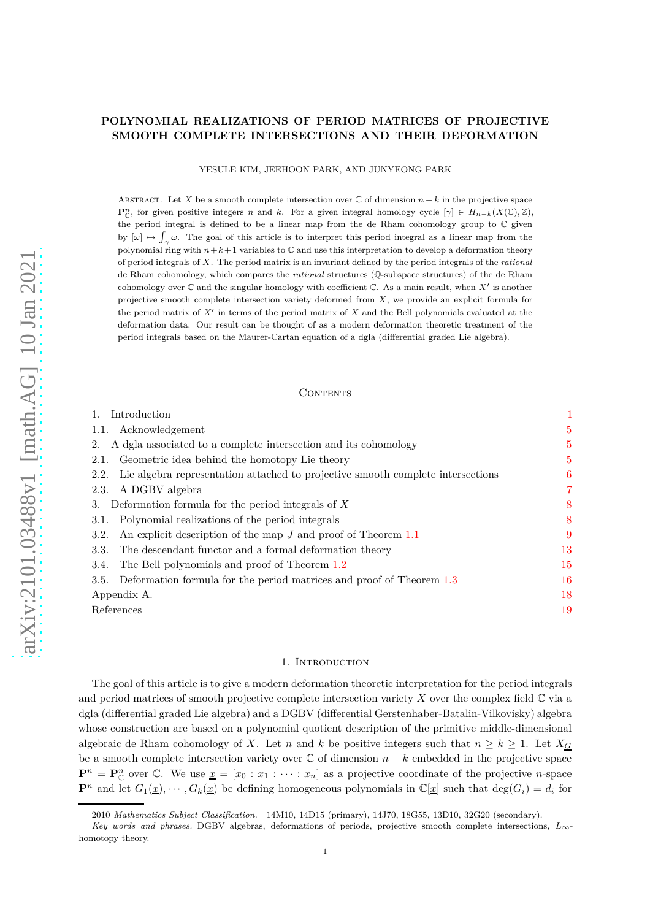## **POLYNOMIAL REALIZATIONS OF PERIOD MATRICES OF PROJECTIVE SMOOTH COMPLETE INTERSECTIONS AND THEIR DEFORMATION**

YESULE KIM, JEEHOON PARK, AND JUNYEONG PARK

ABSTRACT. Let X be a smooth complete intersection over  $\mathbb C$  of dimension  $n - k$  in the projective space **P**<sup>*n*</sup></sup>, for given positive integers *n* and *k*. For a given integral homology cycle  $[\gamma] \in H_{n-k}(X(\mathbb{C}), \mathbb{Z})$ , the period integral is defined to be a linear map from the de Rham cohomology group to C given by  $[\omega] \mapsto \int_{\gamma} \omega$ . The goal of this article is to interpret this period integral as a linear map from the polynomial ring with  $n+k+1$  variables to  $\mathbb C$  and use this interpretation to develop a deformation theory of period integrals of *X*. The period matrix is an invariant defined by the period integrals of the *rational* de Rham cohomology, which compares the *rational* structures (Q-subspace structures) of the de Rham cohomology over  $\mathbb C$  and the singular homology with coefficient  $\mathbb C$ . As a main result, when  $X'$  is another projective smooth complete intersection variety deformed from *X*, we provide an explicit formula for the period matrix of *X*′ in terms of the period matrix of *X* and the Bell polynomials evaluated at the deformation data. Our result can be thought of as a modern deformation theoretic treatment of the period integrals based on the Maurer-Cartan equation of a dgla (differential graded Lie algebra).

## CONTENTS

| Introduction                                                                            | 1              |
|-----------------------------------------------------------------------------------------|----------------|
| Acknowledgement<br>1.1.                                                                 | $\overline{5}$ |
| A dgla associated to a complete intersection and its cohomology<br>2.                   | $\overline{5}$ |
| Geometric idea behind the homotopy Lie theory<br>2.1.                                   | $\overline{5}$ |
| Lie algebra representation attached to projective smooth complete intersections<br>2.2. | 6              |
| A DGBV algebra<br>2.3.                                                                  | 7              |
| Deformation formula for the period integrals of $X$<br>3.                               | 8              |
| Polynomial realizations of the period integrals<br>3.1.                                 | 8              |
| An explicit description of the map $J$ and proof of Theorem 1.1<br>3.2.                 | 9              |
| The descendant functor and a formal deformation theory<br>3.3.                          | 13             |
| The Bell polynomials and proof of Theorem 1.2<br>3.4.                                   | 15             |
| Deformation formula for the period matrices and proof of Theorem 1.3<br>3.5.            | 16             |
| Appendix A.                                                                             | 18             |
| References                                                                              | 19             |

### 1. Introduction

<span id="page-0-0"></span>The goal of this article is to give a modern deformation theoretic interpretation for the period integrals and period matrices of smooth projective complete intersection variety *X* over the complex field C via a dgla (differential graded Lie algebra) and a DGBV (differential Gerstenhaber-Batalin-Vilkovisky) algebra whose construction are based on a polynomial quotient description of the primitive middle-dimensional algebraic de Rham cohomology of *X*. Let *n* and *k* be positive integers such that  $n \geq k \geq 1$ . Let  $X_G$ be a smooth complete intersection variety over  $\mathbb C$  of dimension  $n - k$  embedded in the projective space  $\mathbf{P}^n = \mathbf{P}_{\mathbb{C}}^n$  over  $\mathbb{C}$ . We use  $\underline{x} = [x_0 : x_1 : \cdots : x_n]$  as a projective coordinate of the projective *n*-space  $\mathbf{P}^n$  and let  $G_1(\underline{x}), \cdots, G_k(\underline{x})$  be defining homogeneous polynomials in  $\mathbb{C}[\underline{x}]$  such that  $\deg(G_i) = d_i$  for

<sup>2010</sup> *Mathematics Subject Classification.* 14M10, 14D15 (primary), 14J70, 18G55, 13D10, 32G20 (secondary).

*Key words and phrases.* DGBV algebras, deformations of periods, projective smooth complete intersections, *L*∞ homotopy theory.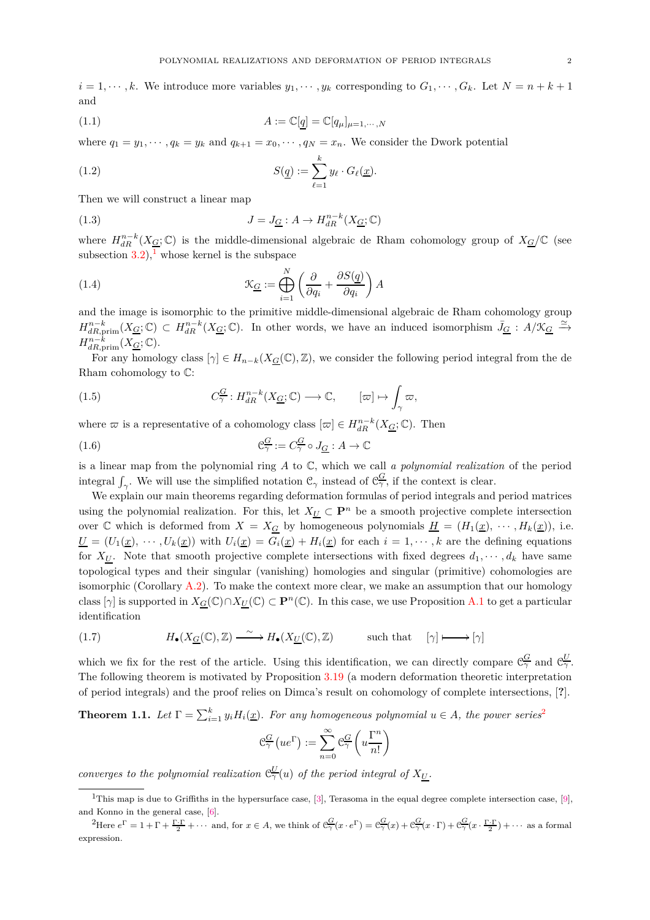$i = 1, \dots, k$ . We introduce more variables  $y_1, \dots, y_k$  corresponding to  $G_1, \dots, G_k$ . Let  $N = n + k + 1$ and

<span id="page-1-4"></span>
$$
(1.1)\qquad \qquad A := \mathbb{C}[q] = \mathbb{C}[q_{\mu}]_{\mu=1,\cdots,N}
$$

where  $q_1 = y_1, \dots, q_k = y_k$  and  $q_{k+1} = x_0, \dots, q_N = x_n$ . We consider the Dwork potential

<span id="page-1-8"></span>(1.2) 
$$
S(\underline{q}) := \sum_{\ell=1}^{k} y_{\ell} \cdot G_{\ell}(\underline{x}).
$$

Then we will construct a linear map

<span id="page-1-9"></span>(1.3) 
$$
J = J_{\underline{G}} : A \to H_{dR}^{n-k}(X_{\underline{G}}; \mathbb{C})
$$

where  $H_{dR}^{n-k}(X_{\underline{G}};\mathbb{C})$  is the middle-dimensional algebraic de Rham cohomology group of  $X_{\underline{G}}/\mathbb{C}$  (see subsection  $3.2$ ,<sup>[1](#page-1-1)</sup> whose kernel is the subspace

<span id="page-1-5"></span>(1.4) 
$$
\mathcal{K}_{\underline{G}} := \bigoplus_{i=1}^{N} \left( \frac{\partial}{\partial q_i} + \frac{\partial S(\underline{q})}{\partial q_i} \right) A
$$

and the image is isomorphic to the primitive middle-dimensional algebraic de Rham cohomology group  $H^{n-k}_{dR,\text{prim}}(X_{\underline{G}};\mathbb{C}) \subset H^{n-k}_{dR}(X_{\underline{G}};\mathbb{C})$ . In other words, we have an induced isomorphism  $\bar{J}_{\underline{G}}: A/\mathfrak{X}_{\underline{G}} \xrightarrow{\simeq}$  $H^{n-k}_{dR,\text{prim}}(X_{\underline{G}};\mathbb{C}).$ 

For any homology class  $[\gamma] \in H_{n-k}(X_G(\mathbb{C}), \mathbb{Z})$ , we consider the following period integral from the de Rham cohomology to C:

<span id="page-1-6"></span>(1.5) 
$$
C^{\underline{G}}_{\gamma}: H^{n-k}_{dR}(X_{\underline{G}};\mathbb{C}) \longrightarrow \mathbb{C}, \qquad [\varpi] \mapsto \int_{\gamma} \varpi,
$$

where  $\varpi$  is a representative of a cohomology class  $[\varpi] \in H_{dR}^{n-k}(X_{\underline{G}};\mathbb{C})$ . Then

<span id="page-1-7"></span>(1.6) 
$$
\mathcal{C}_{\gamma}^{\underline{G}} := C_{\gamma}^{\underline{G}} \circ J_{\underline{G}} : A \to \mathbb{C}
$$

is a linear map from the polynomial ring *A* to C, which we call *a polynomial realization* of the period integral  $\int_{\gamma}$ . We will use the simplified notation  $\mathcal{C}_{\gamma}$  instead of  $\mathcal{C}_{\gamma}^G$ , if the context is clear.

We explain our main theorems regarding deformation formulas of period integrals and period matrices using the polynomial realization. For this, let  $X_U \subset \mathbf{P}^n$  be a smooth projective complete intersection over C which is deformed from  $X = X_G$  by homogeneous polynomials  $H = (H_1(\underline{x}), \cdots, H_k(\underline{x})),$  i.e.  $\underline{U} = (U_1(\underline{x}), \cdots, U_k(\underline{x}))$  with  $U_i(\underline{x}) = G_i(\underline{x}) + H_i(\underline{x})$  for each  $i = 1, \cdots, k$  are the defining equations for  $X_U$ . Note that smooth projective complete intersections with fixed degrees  $d_1, \dots, d_k$  have same topological types and their singular (vanishing) homologies and singular (primitive) cohomologies are isomorphic (Corollary  $A.2$ ). To make the context more clear, we make an assumption that our homology class  $[\gamma]$  is supported in  $X_G(\mathbb{C}) \cap X_U(\mathbb{C}) \subset \mathbb{P}^n(\mathbb{C})$ . In this case, we use Proposition [A.1](#page-17-1) to get a particular identification

<span id="page-1-3"></span>(1.7) 
$$
H_{\bullet}(X_{\underline{G}}(\mathbb{C}), \mathbb{Z}) \xrightarrow{\sim} H_{\bullet}(X_{\underline{U}}(\mathbb{C}), \mathbb{Z}) \quad \text{such that} \quad [\gamma] \longmapsto [\gamma]
$$

which we fix for the rest of the article. Using this identification, we can directly compare  $\mathcal{C}_{\gamma}^G$  and  $\mathcal{C}_{\gamma}^U$ . The following theorem is motivated by Proposition [3.19](#page-14-1) (a modern deformation theoretic interpretation of period integrals) and the proof relies on Dimca's result on cohomology of complete intersections, [**?**].

<span id="page-1-0"></span>**Theorem 1.1.** Let  $\Gamma = \sum_{i=1}^{k} y_i H_i(\underline{x})$ . For any homogeneous polynomial  $u \in A$ , the power series<sup>[2](#page-1-2)</sup>

$$
C_{\gamma}^{\underline{G}}\left(ue^{\Gamma}\right) := \sum_{n=0}^{\infty} C_{\gamma}^{\underline{G}}\left(u\frac{\Gamma^{n}}{n!}\right)
$$

*converges to the polynomial realization*  $C_{\gamma}^{U}(u)$  *of the period integral of*  $X_{U}$ *.* 

<span id="page-1-1"></span><sup>&</sup>lt;sup>1</sup>This map is due to Griffiths in the hypersurface case, [\[3\]](#page-18-2), Terasoma in the equal degree complete intersection case, [\[9\]](#page-18-3), and Konno in the general case, [\[6\]](#page-18-4).

<span id="page-1-2"></span><sup>&</sup>lt;sup>2</sup>Here  $e^{\Gamma} = 1 + \Gamma + \frac{\Gamma \cdot \Gamma}{2} + \cdots$  and, for  $x \in A$ , we think of  $\mathcal{C}^{\mathcal{G}}_{\gamma}(x \cdot e^{\Gamma}) = \mathcal{C}^{\mathcal{G}}_{\gamma}(x) + \mathcal{C}^{\mathcal{G}}_{\gamma}(x \cdot \Gamma) + \mathcal{C}^{\mathcal{G}}_{\gamma}(x \cdot \frac{\Gamma \cdot \Gamma}{2}) + \cdots$  as a formal expression.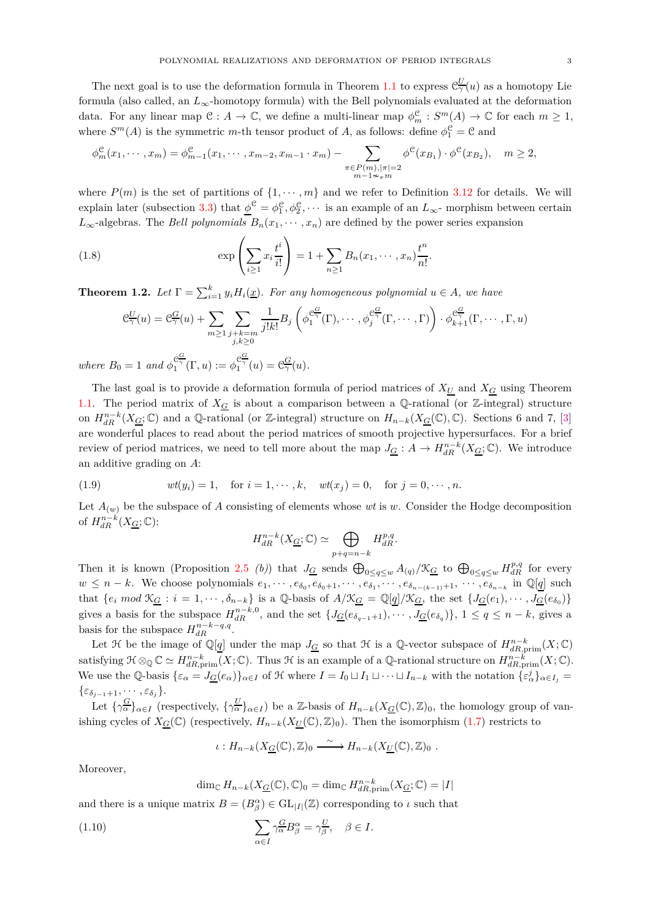The next goal is to use the deformation formula in Theorem [1.1](#page-1-0) to express  $\mathcal{C}^U_\gamma(u)$  as a homotopy Lie formula (also called, an *L*∞-homotopy formula) with the Bell polynomials evaluated at the deformation data. For any linear map  $\mathfrak{C}: A \to \mathbb{C}$ , we define a multi-linear map  $\phi_m^{\mathfrak{C}}: S^m(A) \to \mathbb{C}$  for each  $m \geq 1$ , where  $S^m(A)$  is the symmetric *m*-th tensor product of *A*, as follows: define  $\phi_1^{\mathfrak{C}} = \mathfrak{C}$  and

$$
\phi_m^{\mathcal{C}}(x_1,\dots,x_m) = \phi_{m-1}^{\mathcal{C}}(x_1,\dots,x_{m-2},x_{m-1}\cdot x_m) - \sum_{\substack{\pi \in P(m), |\pi| = 2 \\ m-1 \sim_{\pi} m}} \phi^{\mathcal{C}}(x_{B_1}) \cdot \phi^{\mathcal{C}}(x_{B_2}), \quad m \ge 2,
$$

where  $P(m)$  is the set of partitions of  $\{1, \dots, m\}$  and we refer to Definition [3.12](#page-12-1) for details. We will explain later (subsection [3.3\)](#page-12-0) that  $\underline{\phi}^{\mathfrak{C}} = \phi_1^{\mathfrak{C}}, \phi_2^{\mathfrak{C}}, \cdots$  is an example of an  $L_{\infty}$ - morphism between certain *L*<sub>∞</sub>-algebras. The *Bell polynomials*  $B_n(x_1, \dots, x_n)$  are defined by the power series expansion

(1.8) 
$$
\exp\left(\sum_{i\geq 1} x_i \frac{t^i}{i!}\right) = 1 + \sum_{n\geq 1} B_n(x_1, \dots, x_n) \frac{t^n}{n!}.
$$

<span id="page-2-0"></span>**Theorem 1.2.** Let  $\Gamma = \sum_{i=1}^{k} y_i H_i(\underline{x})$ . For any homogeneous polynomial  $u \in A$ , we have

$$
e_{\gamma}^{U}(u) = e_{\gamma}^{G}(u) + \sum_{m \geq 1} \sum_{\substack{j+k=m \\ j,k \geq 0}} \frac{1}{j!k!} B_{j} \left( \phi_{1}^{e_{\gamma}^{G}}(\Gamma), \cdots, \phi_{j}^{e_{\gamma}^{G}}(\Gamma, \cdots, \Gamma) \right) \cdot \phi_{k+1}^{e_{\gamma}^{G}}(\Gamma, \cdots, \Gamma, u)
$$
  

$$
u = 1 \text{ and } \phi_{1}^{e_{\gamma}^{G}}(\Gamma, u) := \phi_{1}^{e_{\gamma}^{G}}(u) = e_{\gamma}^{G}(u).
$$

*where*  $B_0$  $\mathcal{C}^{\frac{\mathcal{C}^{\infty}}{\gamma}}_{1}(\Gamma, u) := \phi_{1}^{\mathcal{C}^{\infty}_{\gamma}}(u) = \mathcal{C}^{\underline{G}}_{\gamma}(u).$ 

The last goal is to provide a deformation formula of period matrices of  $X_U$  and  $X_G$  using Theorem [1.1.](#page-1-0) The period matrix of  $X_G$  is about a comparison between a Q-rational (or Z-integral) structure on  $H_{dR}^{n-k}(X_{\underline{G}};\mathbb{C})$  and a Q-rational (or Z-integral) structure on  $H_{n-k}(X_{\underline{G}}(\mathbb{C}),\mathbb{C})$ . Sections 6 and 7, [\[3\]](#page-18-2) are wonderful places to read about the period matrices of smooth projective hypersurfaces. For a brief review of period matrices, we need to tell more about the map  $J_{\underline{G}}: A \to H_{dR}^{n-k}(X_{\underline{G}};\mathbb{C})$ . We introduce an additive grading on *A*:

<span id="page-2-2"></span>(1.9) 
$$
wt(y_i) = 1, \text{ for } i = 1, \dots, k, wt(x_j) = 0, \text{ for } j = 0, \dots, n.
$$

Let  $A_{(w)}$  be the subspace of *A* consisting of elements whose *wt* is *w*. Consider the Hodge decomposition of  $H_{dR}^{n-k}(X_{\underline{G}};\mathbb{C})$ :

$$
H_{dR}^{n-k}(X_{\underline{G}};\mathbb{C}) \simeq \bigoplus_{p+q=n-k} H_{dR}^{p,q}.
$$

Then it is known (Proposition [2.5](#page-7-2) *(b)*) that  $J_G$  sends  $\bigoplus_{0 \leq q \leq w} A_{(q)} / X_G$  to  $\bigoplus_{0 \leq q \leq w} H_{dR}^{p,q}$  for every  $w \leq n-k$ . We choose polynomials  $e_1, \dots, e_{\delta_0}, e_{\delta_0+1}, \dots, e_{\delta_1}, \dots, e_{\delta_{n-(k-1)}+1}, \dots, e_{\delta_{n-k}}$  in  $\mathbb{Q}[q]$  such that  $\{e_i \mod \mathfrak{K}_{\underline{G}} : i = 1, \cdots, \delta_{n-k}\}\$ is a  $\mathbb{Q}$ -basis of  $A/\mathfrak{K}_{\underline{G}} = \mathbb{Q}[q]/\mathfrak{K}_{\underline{G}}$ , the set  $\{J_{\underline{G}}(e_1), \cdots, J_{\underline{G}}(e_{\delta_0})\}\$ gives a basis for the subspace  $H_{dR}^{n-k,0}$ , and the set  $\{J_{\underline{G}}(e_{\delta_{q-1}+1}),\cdots,J_{\underline{G}}(e_{\delta_q})\}, 1 \leq q \leq n-k$ , gives a basis for the subspace  $H_{dR}^{n-k-q,q}$ .

Let  $\mathcal{H}$  be the image of  $\mathbb{Q}[q]$  under the map  $J_{\underline{G}}$  so that  $\mathcal{H}$  is a  $\mathbb{Q}$ -vector subspace of  $H^{n-k}_{dR,\text{prim}}(X;\mathbb{C})$ satisfying  $\mathfrak{H} \otimes_{\mathbb{Q}} \mathbb{C} \simeq H^{n-k}_{dR,\text{prim}}(X;\mathbb{C})$ . Thus  $\mathfrak{H}$  is an example of a  $\mathbb{Q}\text{-rational structure on } H^{n-k}_{dR,\text{prim}}(X;\mathbb{C})$ . We use the Q-basis  $\{\varepsilon_{\alpha} = J_{\underline{G}}(e_{\alpha})\}_{{\alpha} \in I}$  of H where  $I = I_0 \sqcup I_1 \sqcup \cdots \sqcup I_{n-k}$  with the notation  $\{\varepsilon_{\alpha}^j\}_{{\alpha} \in I_j} =$  $\{\varepsilon_{\delta_{i-1}+1}, \cdots, \varepsilon_{\delta_i}\}.$ 

Let  $\{\gamma_{\alpha}^{\underline{G}}\}_{\alpha \in I}$  (respectively,  $\{\gamma_{\alpha}^{\underline{U}}\}_{\alpha \in I}$ ) be a Z-basis of  $H_{n-k}(X_{\underline{G}}(\mathbb{C}), \mathbb{Z})_0$ , the homology group of vanishing cycles of  $X_{\mathcal{G}}(\mathbb{C})$  (respectively,  $H_{n-k}(X_{\mathcal{U}}(\mathbb{C}), \mathbb{Z})_0$ ). Then the isomorphism [\(1.7\)](#page-1-3) restricts to

$$
\iota: H_{n-k}(X_{\underline{G}}(\mathbb{C}), \mathbb{Z})_0 \xrightarrow{\sim} H_{n-k}(X_{\underline{U}}(\mathbb{C}), \mathbb{Z})_0 .
$$

Moreover,

<span id="page-2-1"></span>
$$
\dim_{\mathbb{C}} H_{n-k}(X_{\underline{G}}(\mathbb{C}), \mathbb{C})_0 = \dim_{\mathbb{C}} H_{dR, \text{prim}}^{n-k}(X_{\underline{G}}; \mathbb{C}) = |I|
$$

and there is a unique matrix  $B = (B^{\alpha}_{\beta}) \in GL_{|I|}(\mathbb{Z})$  corresponding to  $\iota$  such that

(1.10) 
$$
\sum_{\alpha \in I} \gamma_{\alpha}^{\underline{G}} B^{\alpha}_{\beta} = \gamma_{\beta}^{\underline{U}}, \quad \beta \in I.
$$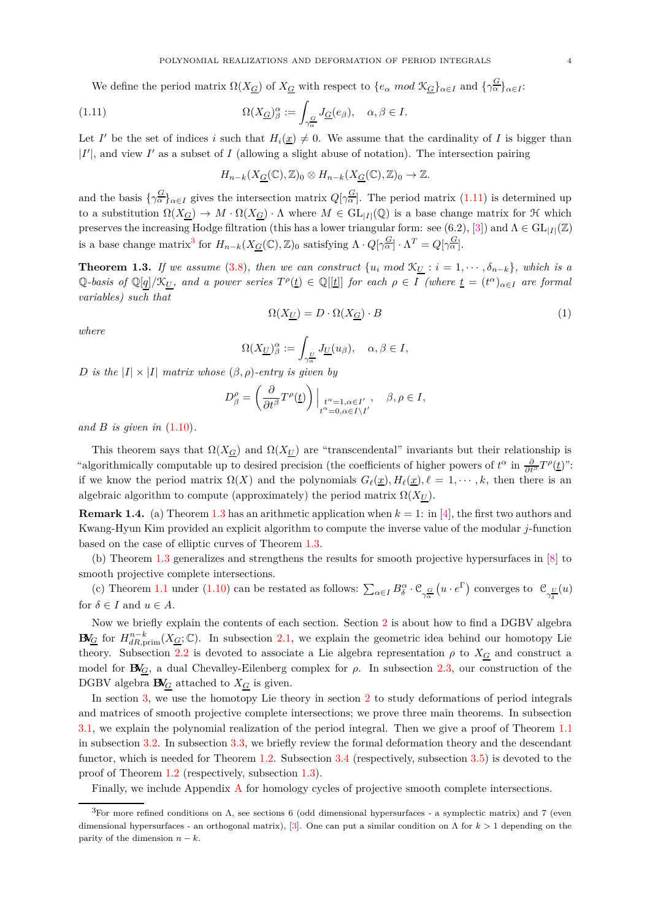We define the period matrix  $\Omega(X_{\mathcal{G}})$  of  $X_{\mathcal{G}}$  with respect to  $\{e_{\alpha} \mod X_{\mathcal{G}}\}_{\alpha \in I}$  and  $\{\gamma_{\alpha}^{\mathcal{G}}\}_{\alpha \in I}$ :

<span id="page-3-1"></span>(1.11) 
$$
\Omega(X_{\underline{G}})_{\beta}^{\alpha} := \int_{\gamma_{\alpha}^{\underline{G}}} J_{\underline{G}}(e_{\beta}), \quad \alpha, \beta \in I.
$$

Let *I'* be the set of indices *i* such that  $H_i(\underline{x}) \neq 0$ . We assume that the cardinality of *I* is bigger than  $|I'|$ , and view  $I'$  as a subset of  $I$  (allowing a slight abuse of notation). The intersection pairing

$$
H_{n-k}(X_{\underline{G}}(\mathbb{C}),\mathbb{Z})_0 \otimes H_{n-k}(X_{\underline{G}}(\mathbb{C}),\mathbb{Z})_0 \to \mathbb{Z}.
$$

and the basis  $\{\gamma^{\underline{G}}_{\alpha}\}_{{\alpha}\in I}$  gives the intersection matrix  $Q[\gamma^{\underline{G}}_{\alpha}]$ . The period matrix [\(1.11\)](#page-3-1) is determined up to a substitution  $\Omega(X_G) \to M \cdot \Omega(X_G) \cdot \Lambda$  where  $M \in GL_{|I|}(\mathbb{Q})$  is a base change matrix for  $\mathcal H$  which preserves the increasing Hodge filtration (this has a lower triangular form: see (6.2), [\[3\]](#page-18-2)) and  $\Lambda \in GL_{|I|}(\mathbb{Z})$ is a base change matrix<sup>[3](#page-3-2)</sup> for  $H_{n-k}(X_{\underline{G}}(\mathbb{C}), \mathbb{Z})_0$  satisfying  $\Lambda \cdot Q[\gamma_{\alpha}^{\underline{G}}] \cdot \Lambda^T = Q[\gamma_{\alpha}^{\underline{G}}]$ .

<span id="page-3-0"></span>**Theorem 1.3.** *If we assume* [\(3.8\)](#page-15-1)*, then we can construct*  $\{u_i \text{ mod } \mathcal{K}_U : i = 1, \dots, \delta_{n-k}\}\$ , which is a  $\mathbb{Q}$ -basis of  $\mathbb{Q}[q]/\mathfrak{X}_{U}$ , and a power series  $T^{\rho}(t) \in \mathbb{Q}[[t]]$  for each  $\rho \in I$  (where  $\underline{t} = (t^{\alpha})_{\alpha \in I}$  are formal *variables) such that*

$$
\Omega(X_{\underline{U}}) = D \cdot \Omega(X_{\underline{G}}) \cdot B \tag{1}
$$

*where*

$$
\Omega(X_{\underline{U}})_{\beta}^{\alpha} := \int_{\gamma_{\alpha}^{\underline{U}}} J_{\underline{U}}(u_{\beta}), \quad \alpha, \beta \in I,
$$

*D is the*  $|I| \times |I|$  *matrix whose*  $(\beta, \rho)$ *-entry is given by* 

$$
D_{\beta}^{\rho} = \left(\frac{\partial}{\partial t^{\beta}} T^{\rho}(\underline{t})\right) \Big|_{\substack{t^{\alpha} = 1, \alpha \in I', \\ t^{\alpha} = 0, \alpha \in I \setminus I'}} , \quad \beta, \rho \in I,
$$

*and B is given in* [\(1.10\)](#page-2-1)*.*

This theorem says that  $\Omega(X_G)$  and  $\Omega(X_U)$  are "transcendental" invariants but their relationship is "algorithmically computable up to desired precision (the coefficients of higher powers of  $t^{\alpha}$  in  $\frac{\partial}{\partial t^{\beta}}T^{\rho}(\underline{t})$ ": if we know the period matrix  $\Omega(X)$  and the polynomials  $G_{\ell}(\underline{x}), H_{\ell}(\underline{x}), \ell = 1, \dots, k$ , then there is an algebraic algorithm to compute (approximately) the period matrix  $\Omega(X_U)$ .

<span id="page-3-3"></span>**Remark 1.4.** (a) Theorem [1.3](#page-3-0) has an arithmetic application when  $k = 1$ : in [\[4\]](#page-18-5), the first two authors and Kwang-Hyun Kim provided an explicit algorithm to compute the inverse value of the modular *j*-function based on the case of elliptic curves of Theorem [1.3.](#page-3-0)

(b) Theorem [1.3](#page-3-0) generalizes and strengthens the results for smooth projective hypersurfaces in [\[8\]](#page-18-6) to smooth projective complete intersections.

(c) Theorem [1.1](#page-1-0) under [\(1.10\)](#page-2-1) can be restated as follows:  $\sum_{\alpha \in I} B^{\alpha}_{\delta} \cdot \mathcal{C}_{\gamma^{\underline{G}}_{\alpha}}(u \cdot e^{\Gamma})$  converges to  $\mathcal{C}_{\gamma^{\underline{U}}_{\delta}}(u)$ for  $\delta \in I$  and  $u \in A$ .

Now we briefly explain the contents of each section. Section [2](#page-4-1) is about how to find a DGBV algebra **BV**<sub>*G*</sub> for  $H^{n-k}_{dR,\text{prim}}(X_{\underline{G}};\mathbb{C})$ . In subsection [2.1,](#page-4-2) we explain the geometric idea behind our homotopy Lie theory. Subsection [2.2](#page-5-0) is devoted to associate a Lie algebra representation  $\rho$  to  $X_G$  and construct a model for  $\mathbf{B}\mathbf{V}_G$ , a dual Chevalley-Eilenberg complex for  $\rho$ . In subsection [2.3,](#page-6-0) our construction of the DGBV algebra  $\mathbf{B}V_G$  attached to  $X_G$  is given.

In section [3,](#page-7-0) we use the homotopy Lie theory in section [2](#page-4-1) to study deformations of period integrals and matrices of smooth projective complete intersections; we prove three main theorems. In subsection [3.1,](#page-7-1) we explain the polynomial realization of the period integral. Then we give a proof of Theorem [1.1](#page-1-0) in subsection [3.2.](#page-8-0) In subsection [3.3,](#page-12-0) we briefly review the formal deformation theory and the descendant functor, which is needed for Theorem [1.2.](#page-2-0) Subsection [3.4](#page-14-0) (respectively, subsection [3.5\)](#page-15-0) is devoted to the proof of Theorem [1.2](#page-2-0) (respectively, subsection [1.3\)](#page-3-0).

Finally, we include Appendix [A](#page-17-0) for homology cycles of projective smooth complete intersections.

<span id="page-3-2"></span><sup>&</sup>lt;sup>3</sup>For more refined conditions on  $\Lambda$ , see sections 6 (odd dimensional hypersurfaces - a symplectic matrix) and 7 (even dimensional hypersurfaces - an orthogonal matrix), [\[3\]](#page-18-2). One can put a similar condition on Λ for *k >* 1 depending on the parity of the dimension  $n - k$ .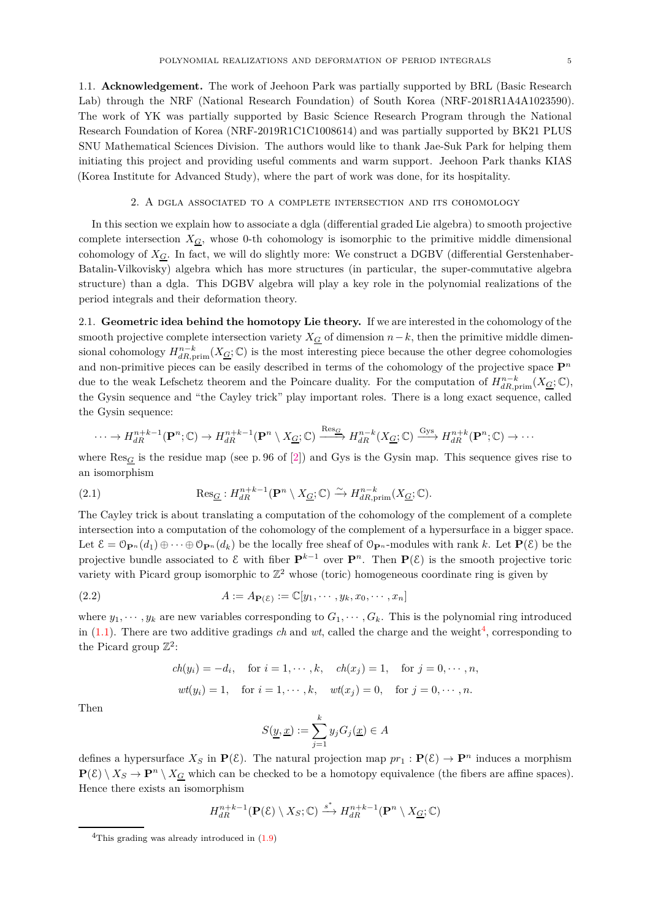<span id="page-4-0"></span>1.1. **Acknowledgement.** The work of Jeehoon Park was partially supported by BRL (Basic Research Lab) through the NRF (National Research Foundation) of South Korea (NRF-2018R1A4A1023590). The work of YK was partially supported by Basic Science Research Program through the National Research Foundation of Korea (NRF-2019R1C1C1008614) and was partially supported by BK21 PLUS SNU Mathematical Sciences Division. The authors would like to thank Jae-Suk Park for helping them initiating this project and providing useful comments and warm support. Jeehoon Park thanks KIAS (Korea Institute for Advanced Study), where the part of work was done, for its hospitality.

### 2. A dgla associated to a complete intersection and its cohomology

<span id="page-4-1"></span>In this section we explain how to associate a dgla (differential graded Lie algebra) to smooth projective complete intersection  $X_G$ , whose 0-th cohomology is isomorphic to the primitive middle dimensional cohomology of *XG*. In fact, we will do slightly more: We construct a DGBV (differential Gerstenhaber-Batalin-Vilkovisky) algebra which has more structures (in particular, the super-commutative algebra structure) than a dgla. This DGBV algebra will play a key role in the polynomial realizations of the period integrals and their deformation theory.

<span id="page-4-2"></span>2.1. **Geometric idea behind the homotopy Lie theory.** If we are interested in the cohomology of the smooth projective complete intersection variety  $X_G$  of dimension  $n-k$ , then the primitive middle dimensional cohomology  $H^{n-k}_{dR,\text{prim}}(X_{\underline{G}};\mathbb{C})$  is the most interesting piece because the other degree cohomologies and non-primitive pieces can be easily described in terms of the cohomology of the projective space  $\mathbf{P}^n$ due to the weak Lefschetz theorem and the Poincare duality. For the computation of  $H^{n-k}_{dR,\text{prim}}(X_{\mathcal{G}};\mathbb{C}),$ the Gysin sequence and "the Cayley trick" play important roles. There is a long exact sequence, called the Gysin sequence:

$$
\cdots \to H_{dR}^{n+k-1}(\mathbf{P}^n; \mathbb{C}) \to H_{dR}^{n+k-1}(\mathbf{P}^n \setminus X_{\underline{G}}; \mathbb{C}) \xrightarrow{\text{Res}_{\underline{G}}} H_{dR}^{n-k}(X_{\underline{G}}; \mathbb{C}) \xrightarrow{\text{Gys}} H_{dR}^{n+k}(\mathbf{P}^n; \mathbb{C}) \to \cdots
$$

where  $\text{Res}_G$  is the residue map (see p. 96 of [\[2\]](#page-18-7)) and Gys is the Gysin map. This sequence gives rise to an isomorphism

(2.1) 
$$
\operatorname{Res}_{\underline{G}}: H^{n+k-1}_{dR}(\mathbf{P}^n \setminus X_{\underline{G}}; \mathbb{C}) \xrightarrow{\sim} H^{n-k}_{dR, \text{prim}}(X_{\underline{G}}; \mathbb{C}).
$$

The Cayley trick is about translating a computation of the cohomology of the complement of a complete intersection into a computation of the cohomology of the complement of a hypersurface in a bigger space. Let  $\mathcal{E} = \mathbb{O}_{\mathbf{P}^n}(d_1) \oplus \cdots \oplus \mathbb{O}_{\mathbf{P}^n}(d_k)$  be the locally free sheaf of  $\mathbb{O}_{\mathbf{P}^n}$ -modules with rank k. Let  $\mathbf{P}(\mathcal{E})$  be the projective bundle associated to  $\mathcal{E}$  with fiber  $\mathbf{P}^{k-1}$  over  $\mathbf{P}^n$ . Then  $\mathbf{P}(\mathcal{E})$  is the smooth projective toric variety with Picard group isomorphic to  $\mathbb{Z}^2$  whose (toric) homogeneous coordinate ring is given by

(2.2) 
$$
A := A_{\mathbf{P}(\mathcal{E})} := \mathbb{C}[y_1, \cdots, y_k, x_0, \cdots, x_n]
$$

where  $y_1, \dots, y_k$  are new variables corresponding to  $G_1, \dots, G_k$ . This is the polynomial ring introduced in  $(1.1)$ . There are two additive gradings *ch* and *wt*, called the charge and the weight<sup>[4](#page-4-3)</sup>, corresponding to the Picard group  $\mathbb{Z}^2$ :

$$
ch(y_i) = -d_i, \quad \text{for } i = 1, \dots, k, \quad ch(x_j) = 1, \quad \text{for } j = 0, \dots, n,
$$

$$
wt(y_i) = 1, \quad \text{for } i = 1, \dots, k, \quad wt(x_j) = 0, \quad \text{for } j = 0, \dots, n.
$$

Then

$$
S(\underline{y}, \underline{x}) := \sum_{j=1}^{k} y_j G_j(\underline{x}) \in A
$$

defines a hypersurface  $X_S$  in  $P(\mathcal{E})$ . The natural projection map  $pr_1 : P(\mathcal{E}) \to P^n$  induces a morphism  $P(\mathcal{E}) \setminus X_S \to P^n \setminus X_G$  which can be checked to be a homotopy equivalence (the fibers are affine spaces). Hence there exists an isomorphism

$$
H^{n+k-1}_{dR}(\mathbf{P}(\mathcal{E})\setminus X_S;\mathbb{C})\stackrel{s^*}{\longrightarrow}H^{n+k-1}_{dR}(\mathbf{P}^n\setminus X_{\underline{G}};\mathbb{C})
$$

<span id="page-4-3"></span><sup>&</sup>lt;sup>4</sup>This grading was already introduced in  $(1.9)$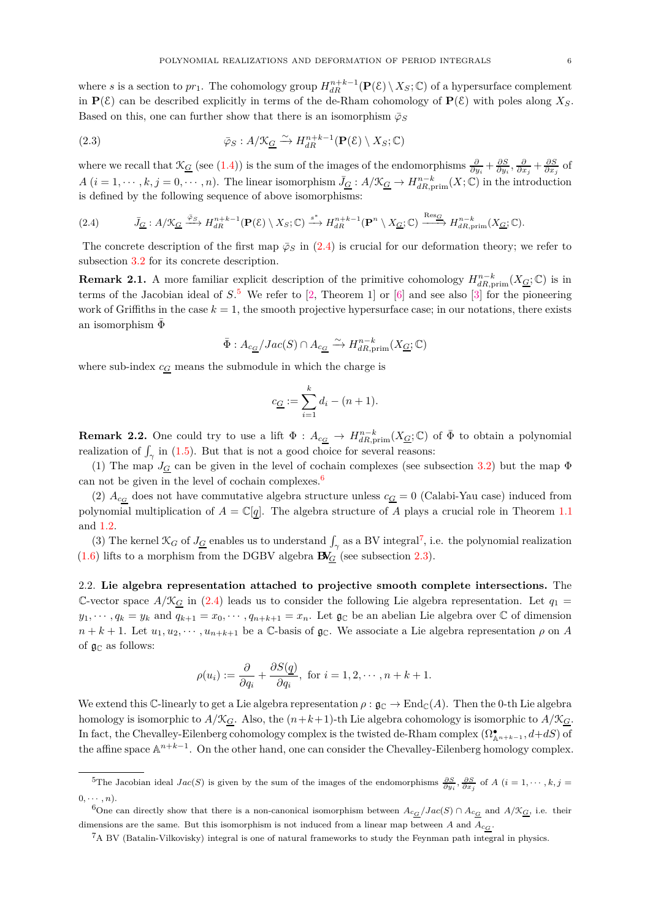where *s* is a section to  $pr_1$ . The cohomology group  $H_{dR}^{n+k-1}(\mathbf{P}(\mathcal{E}) \setminus X_S; \mathbb{C})$  of a hypersurface complement in  $P(\mathcal{E})$  can be described explicitly in terms of the de-Rham cohomology of  $P(\mathcal{E})$  with poles along  $X_S$ . Based on this, one can further show that there is an isomorphism  $\bar{\varphi}_S$ 

(2.3) 
$$
\bar{\varphi}_S : A / \mathcal{K}_{\underline{G}} \xrightarrow{\sim} H_{dR}^{n+k-1}(\mathbf{P}(\mathcal{E}) \setminus X_S; \mathbb{C})
$$

where we recall that  $\mathcal{K}_{\underline{G}}$  (see [\(1.4\)](#page-1-5)) is the sum of the images of the endomorphisms  $\frac{\partial}{\partial y_i} + \frac{\partial S}{\partial y_i}, \frac{\partial}{\partial x_j} + \frac{\partial S}{\partial x_j}$  of  $A(i = 1, \dots, k, j = 0, \dots, n)$ . The linear isomorphism  $\bar{J}_G : A/\mathfrak{X}_G \to H^{n-k}_{dR, \text{prim}}(X; \mathbb{C})$  in the introduction is defined by the following sequence of above isomorphisms:

<span id="page-5-1"></span>(2.4) 
$$
\bar{J}_{\underline{G}}: A/\mathfrak{X}_{\underline{G}} \xrightarrow{\bar{\varphi}_S} H^{n+k-1}_{dR}(\mathbf{P}(\mathcal{E}) \setminus X_S; \mathbb{C}) \xrightarrow{s^*} H^{n+k-1}_{dR}(\mathbf{P}^n \setminus X_{\underline{G}}; \mathbb{C}) \xrightarrow{\text{Res}_{\underline{G}}} H^{n-k}_{dR, \text{prim}}(X_{\underline{G}}; \mathbb{C}).
$$

The concrete description of the first map  $\bar{\varphi}_S$  in [\(2.4\)](#page-5-1) is crucial for our deformation theory; we refer to subsection [3.2](#page-8-0) for its concrete description.

**Remark 2.1.** A more familiar explicit description of the primitive cohomology  $H_{dR,prim}^{n-k}(X_{\underline{G}};\mathbb{C})$  is in terms of the Jacobian ideal of *S*. [5](#page-5-2) We refer to [\[2,](#page-18-7) Theorem 1] or [\[6\]](#page-18-4) and see also [\[3\]](#page-18-2) for the pioneering work of Griffiths in the case  $k = 1$ , the smooth projective hypersurface case; in our notations, there exists an isomorphism  $\Phi$ 

$$
\bar{\Phi}:A_{c\underline{\mathbf{G}}}/Jac(S)\cap A_{c\underline{\mathbf{G}}}\xrightarrow{\sim} H^{n-k}_{dR,\mathrm{prim}}(X_{\underline{\mathbf{G}}};\mathbb{C})
$$

where sub-index  $c_G$  means the submodule in which the charge is

$$
c_{\underline{G}} := \sum_{i=1}^{k} d_i - (n+1).
$$

<span id="page-5-5"></span>**Remark 2.2.** One could try to use a lift  $\Phi: A_{c\underline{G}} \to H^{n-k}_{dR,\text{prim}}(X_{\underline{G}};\mathbb{C})$  of  $\bar{\Phi}$  to obtain a polynomial realization of  $\int_{\gamma}$  in [\(1.5\)](#page-1-6). But that is not a good choice for several reasons:

(1) The map  $J_G$  can be given in the level of cochain complexes (see subsection [3.2\)](#page-8-0) but the map  $\Phi$ can not be given in the level of cochain complexes. $6$ 

(2)  $A_{c_G}$  does not have commutative algebra structure unless  $c_G = 0$  (Calabi-Yau case) induced from polynomial multiplication of  $A = \mathbb{C}[q]$ . The algebra structure of *A* plays a crucial role in Theorem [1.1](#page-1-0) and [1.2.](#page-2-0)

(3) The kernel  $\mathcal{K}_G$  of  $J_{\underline{G}}$  enables us to understand  $\int_{\gamma}$  as a BV integral<sup>[7](#page-5-4)</sup>, i.e. the polynomial realization  $(1.6)$  lifts to a morphism from the DGBV algebra  $\mathbf{B}V_G$  (see subsection [2.3\)](#page-6-0).

<span id="page-5-0"></span>2.2. **Lie algebra representation attached to projective smooth complete intersections.** The C-vector space  $A/\mathcal{K}_G$  in [\(2.4\)](#page-5-1) leads us to consider the following Lie algebra representation. Let  $q_1$  $y_1, \dots, y_k = y_k$  and  $q_{k+1} = x_0, \dots, q_{n+k+1} = x_n$ . Let  $\mathfrak{g}_\mathbb{C}$  be an abelian Lie algebra over  $\mathbb{C}$  of dimension  $n + k + 1$ . Let  $u_1, u_2, \dots, u_{n+k+1}$  be a C-basis of  $\mathfrak{g}_\mathbb{C}$ . We associate a Lie algebra representation  $\rho$  on *A* of  $\mathfrak{g}_{\mathbb{C}}$  as follows:

$$
\rho(u_i) := \frac{\partial}{\partial q_i} + \frac{\partial S(q)}{\partial q_i}, \text{ for } i = 1, 2, \cdots, n+k+1.
$$

We extend this C-linearly to get a Lie algebra representation  $\rho : \mathfrak{g}_{\mathbb{C}} \to \mathrm{End}_{\mathbb{C}}(A)$ . Then the 0-th Lie algebra homology is isomorphic to  $A/\mathcal{K}_{\underline{G}}$ . Also, the  $(n+k+1)$ -th Lie algebra cohomology is isomorphic to  $A/\mathcal{K}_{G}$ . In fact, the Chevalley-Eilenberg cohomology complex is the twisted de-Rham complex  $(\Omega_{\mathbb{A}^{n+k-1}}^{\bullet}, d+dS)$  of the affine space A *n*+*k*−1 . On the other hand, one can consider the Chevalley-Eilenberg homology complex.

<span id="page-5-2"></span> ${}^{5}\text{The Jacobian ideal } Jac(S)$  is given by the sum of the images of the endomorphisms  $\frac{\partial S}{\partial y_i}, \frac{\partial S}{\partial x_j}$  of A  $(i = 1, \dots, k, j = k$  $(0, \cdots, n)$ .

<sup>6</sup>One can directly show that there is a non-canonical isomorphism between  $A_{c_G}/Jac(S) \cap A_{c_G}$  and  $A/\mathfrak{K}_{G}$ , i.e. their dimensions are the same. But this isomorphism is not induced from a linear map between *A* and *Ac<sup>G</sup>* .

<span id="page-5-4"></span><span id="page-5-3"></span><sup>7</sup>A BV (Batalin-Vilkovisky) integral is one of natural frameworks to study the Feynman path integral in physics.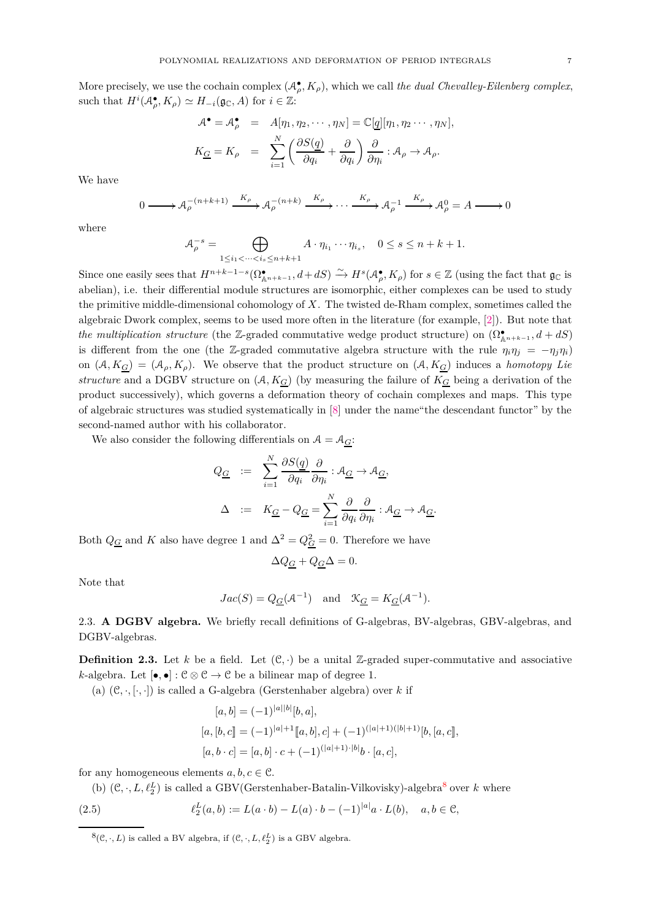More precisely, we use the cochain complex  $(A_{\rho}^{\bullet}, K_{\rho})$ , which we call *the dual Chevalley-Eilenberg complex*, such that  $H^i(A_{\rho}^{\bullet}, K_{\rho}) \simeq H_{-i}(\mathfrak{g}_{\mathbb{C}}, A)$  for  $i \in \mathbb{Z}$ :

$$
\mathcal{A}^{\bullet} = \mathcal{A}^{\bullet}_{\rho} = A[\eta_1, \eta_2, \cdots, \eta_N] = \mathbb{C}[q][\eta_1, \eta_2 \cdots, \eta_N],
$$
  

$$
K_{\underline{G}} = K_{\rho} = \sum_{i=1}^{N} \left( \frac{\partial S(q)}{\partial q_i} + \frac{\partial}{\partial q_i} \right) \frac{\partial}{\partial \eta_i} : \mathcal{A}_{\rho} \to \mathcal{A}_{\rho}.
$$

We have

$$
0 \longrightarrow {\mathcal{A}}_{\rho}^{-(n+k+1)} \xrightarrow{K_{\rho}} {\mathcal{A}}_{\rho}^{-(n+k)} \xrightarrow{K_{\rho}} \cdots \xrightarrow{K_{\rho}} {\mathcal{A}}_{\rho}^{-1} \xrightarrow{K_{\rho}} {\mathcal{A}}_{\rho}^{0} = A \longrightarrow 0
$$

where

$$
\mathcal{A}_{\rho}^{-s} = \bigoplus_{1 \leq i_1 < \dots < i_s \leq n+k+1} A \cdot \eta_{i_1} \cdots \eta_{i_s}, \quad 0 \leq s \leq n+k+1.
$$

Since one easily sees that  $H^{n+k-1-s}(\Omega_{\mathbb{A}^{n+k-1}}^{\bullet}, d+dS) \xrightarrow{\sim} H^s(\mathcal{A}_{\rho}^{\bullet}, K_{\rho})$  for  $s \in \mathbb{Z}$  (using the fact that  $\mathfrak{g}_{\mathbb{C}}$  is abelian), i.e. their differential module structures are isomorphic, either complexes can be used to study the primitive middle-dimensional cohomology of *X*. The twisted de-Rham complex, sometimes called the algebraic Dwork complex, seems to be used more often in the literature (for example, [\[2\]](#page-18-7)). But note that *the multiplication structure* (the Z-graded commutative wedge product structure) on  $(\Omega_{\mathbb{A}^{n+k-1}}^{\bullet}, d + dS)$ is different from the one (the Z-graded commutative algebra structure with the rule  $\eta_i \eta_j = -\eta_j \eta_i$ ) on  $(A, K_G) = (A_\rho, K_\rho)$ . We observe that the product structure on  $(A, K_G)$  induces a *homotopy Lie structure* and a DGBV structure on  $(A, K_G)$  (by measuring the failure of  $K_G$  being a derivation of the product successively), which governs a deformation theory of cochain complexes and maps. This type of algebraic structures was studied systematically in [\[8\]](#page-18-6) under the name"the descendant functor" by the second-named author with his collaborator.

We also consider the following differentials on  $A = A_G$ :

$$
Q_{\underline{G}} := \sum_{i=1}^{N} \frac{\partial S(\underline{q})}{\partial q_i} \frac{\partial}{\partial \eta_i} : A_{\underline{G}} \to A_{\underline{G}},
$$
  

$$
\Delta := K_{\underline{G}} - Q_{\underline{G}} = \sum_{i=1}^{N} \frac{\partial}{\partial q_i} \frac{\partial}{\partial \eta_i} : A_{\underline{G}} \to A_{\underline{G}}.
$$

Both  $Q_{\underline{G}}$  and *K* also have degree 1 and  $\Delta^2 = Q_{\underline{G}}^2 = 0$ . Therefore we have

$$
\Delta Q_{\underline{G}} + Q_{\underline{G}} \Delta = 0.
$$

Note that

$$
Jac(S) = Q_{\underline{G}}(\mathcal{A}^{-1})
$$
 and  $\mathcal{K}_{\underline{G}} = K_{\underline{G}}(\mathcal{A}^{-1}).$ 

<span id="page-6-0"></span>2.3. **A DGBV algebra.** We briefly recall definitions of G-algebras, BV-algebras, GBV-algebras, and DGBV-algebras.

**Definition 2.3.** Let *k* be a field. Let  $(\mathcal{C}, \cdot)$  be a unital Z-graded super-commutative and associative *k*-algebra. Let  $[\bullet, \bullet] : \mathbb{C} \otimes \mathbb{C} \to \mathbb{C}$  be a bilinear map of degree 1.

(a)  $(\mathcal{C}, \cdot, [\cdot, \cdot])$  is called a G-algebra (Gerstenhaber algebra) over *k* if

$$
[a, b] = (-1)^{|a||b|}[b, a],
$$
  
\n
$$
[a, [b, c] = (-1)^{|a|+1}[[a, b], c] + (-1)^{(|a|+1)(|b|+1)}[b, [a, c]],
$$
  
\n
$$
[a, b \cdot c] = [a, b] \cdot c + (-1)^{(|a|+1) \cdot |b|}b \cdot [a, c],
$$

for any homogeneous elements  $a, b, c \in \mathcal{C}$ .

(b)  $(C, \cdot, L, \ell_2^L)$  is called a GBV(Gerstenhaber-Batalin-Vilkovisky)-algebra<sup>[8](#page-6-1)</sup> over *k* where

<span id="page-6-2"></span>(2.5) 
$$
\ell_2^L(a,b) := L(a \cdot b) - L(a) \cdot b - (-1)^{|a|} a \cdot L(b), \quad a, b \in \mathcal{C},
$$

<span id="page-6-1"></span> $^8(\mathcal{C}, \cdot, L)$  is called a BV algebra, if  $(\mathcal{C}, \cdot, L, \ell_2^L)$  is a GBV algebra.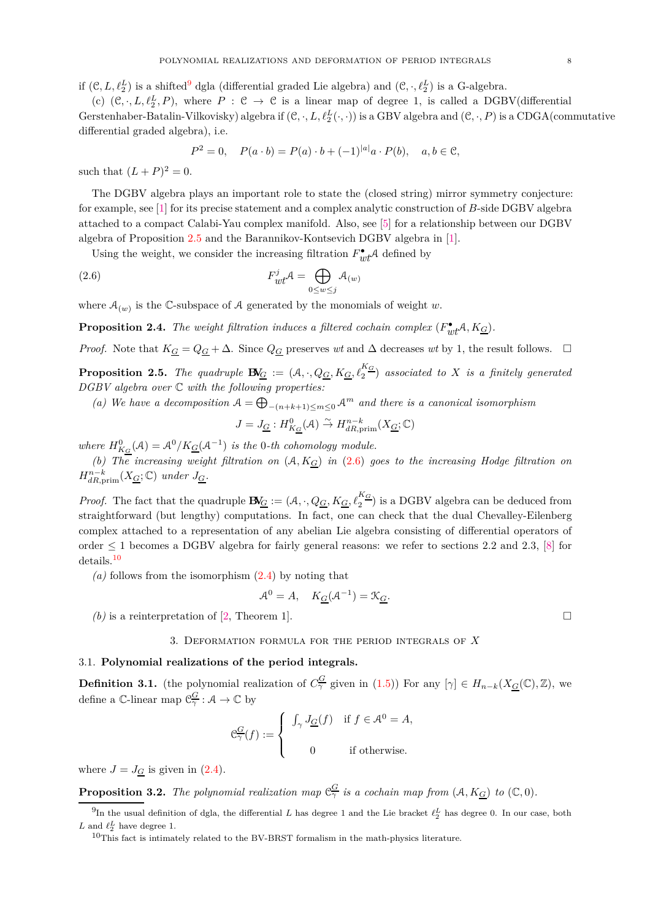if  $(C, L, \ell_2^L)$  is a shifted<sup>[9](#page-7-3)</sup> dgla (differential graded Lie algebra) and  $(C, \cdot, \ell_2^L)$  is a G-algebra.

(c)  $(\mathcal{C}, \cdot, L, \ell_2^L, P)$ , where  $P : \mathcal{C} \to \mathcal{C}$  is a linear map of degree 1, is called a DGBV(differential Gerstenhaber-Batalin-Vilkovisky) algebra if  $(C, \cdot, L, \ell_2^L(\cdot, \cdot))$  is a GBV algebra and  $(C, \cdot, P)$  is a CDGA(commutative differential graded algebra), i.e.

<span id="page-7-4"></span>
$$
P^2 = 0, \quad P(a \cdot b) = P(a) \cdot b + (-1)^{|a|} a \cdot P(b), \quad a, b \in \mathcal{C},
$$

such that  $(L + P)^2 = 0$ .

The DGBV algebra plays an important role to state the (closed string) mirror symmetry conjecture: for example, see [\[1\]](#page-18-8) for its precise statement and a complex analytic construction of *B*-side DGBV algebra attached to a compact Calabi-Yau complex manifold. Also, see [\[5\]](#page-18-9) for a relationship between our DGBV algebra of Proposition [2.5](#page-7-2) and the Barannikov-Kontsevich DGBV algebra in [\[1\]](#page-18-8).

Using the weight, we consider the increasing filtration  $F_{wt}^{\bullet}\mathcal{A}$  defined by

(2.6) 
$$
F_{wt}^j \mathcal{A} = \bigoplus_{0 \le w \le j} \mathcal{A}_{(w)}
$$

where  $A_{(w)}$  is the C-subspace of A generated by the monomials of weight *w*.

**Proposition 2.4.** *The weight filtration induces a filtered cochain complex*  $(F_{wt}^{\bullet}A, K_{\underline{G}})$ *.* 

*Proof.* Note that  $K_G = Q_G + \Delta$ . Since  $Q_G$  preserves *wt* and  $\Delta$  decreases *wt* by 1, the result follows.  $\Box$ 

<span id="page-7-2"></span>**Proposition 2.5.** *The quadruple*  $\mathbf{B}V_G := (\mathcal{A}, \cdot, Q_G, K_G, \ell_2^{K_G})$  associated to X is a finitely generated *DGBV algebra over* C *with the following properties:*

(a) We have a decomposition  $A = \bigoplus_{-(n+k+1) \le m \le 0} A^m$  and there is a canonical isomorphism

$$
J=J_{\underline{G}}:H_{K_{\underline{G}}}^{0}(\mathcal{A})\stackrel{\sim}{\rightarrow}H_{dR,\mathrm{prim}}^{n-k}(X_{\underline{G}};\mathbb{C})
$$

*where*  $H_{K_G}^0(\mathcal{A}) = \mathcal{A}^0 / K_{\underline{G}}(\mathcal{A}^{-1})$  *is the* 0*-th cohomology module.* 

*(b) The increasing weight filtration on* (A*, KG*) *in* [\(2.6\)](#page-7-4) *goes to the increasing Hodge filtration on*  $H^{n-k}_{dR,\text{prim}}(X_{\underline{G}};\mathbb{C})$  *under*  $J_{\underline{G}}$ *.* 

*Proof.* The fact that the quadruple  $\mathbf{B}V_{\underline{G}} := (\mathcal{A}, \cdot, Q_{\underline{G}}, K_{\underline{G}}, \ell_2^{K_{\underline{G}}})$  is a DGBV algebra can be deduced from straightforward (but lengthy) computations. In fact, one can check that the dual Chevalley-Eilenberg complex attached to a representation of any abelian Lie algebra consisting of differential operators of order  $\leq$  1 becomes a DGBV algebra for fairly general reasons: we refer to sections 2.2 and 2.3, [\[8\]](#page-18-6) for details.[10](#page-7-5)

*(a)* follows from the isomorphism [\(2.4\)](#page-5-1) by noting that

$$
\mathcal{A}^0 = A, \quad K_{\mathcal{G}}(\mathcal{A}^{-1}) = \mathcal{K}_{\mathcal{G}}.
$$

<span id="page-7-0"></span>(b) is a reinterpretation of [\[2,](#page-18-7) Theorem 1].

## 3. Deformation formula for the period integrals of *X*

## <span id="page-7-1"></span>3.1. **Polynomial realizations of the period integrals.**

<span id="page-7-7"></span>**Definition 3.1.** (the polynomial realization of  $C_{\gamma}^{\underline{G}}$  given in [\(1.5\)](#page-1-6)) For any  $[\gamma] \in H_{n-k}(X_{\underline{G}}(\mathbb{C}), \mathbb{Z})$ , we define a C-linear map  $C_{\gamma}^G : A \to \mathbb{C}$  by

$$
\mathcal{C}^{\underline{G}}_{\gamma}(f):=\left\{\begin{array}{cl} \int_{\gamma}J_{\underline{G}}(f) & \text{if } f\in \mathcal{A}^0=A, \\ \\ 0 & \text{if otherwise.} \end{array}\right.
$$

where  $J = J_G$  is given in [\(2.4\)](#page-5-1).

<span id="page-7-6"></span>**Proposition 3.2.** The polynomial realization map  $\mathfrak{C}_{\gamma}^{\underline{G}}$  is a cochain map from  $(A, K_{\underline{G}})$  to  $(\mathbb{C}, 0)$ .

<sup>&</sup>lt;sup>9</sup>In the usual definition of dgla, the differential *L* has degree 1 and the Lie bracket  $\ell_2^L$  has degree 0. In our case, both *L* and  $\ell_2^L$  have degree 1.

<span id="page-7-5"></span><span id="page-7-3"></span> $^{10}\mathrm{This}$  fact is intimately related to the BV-BRST formalism in the math-physics literature.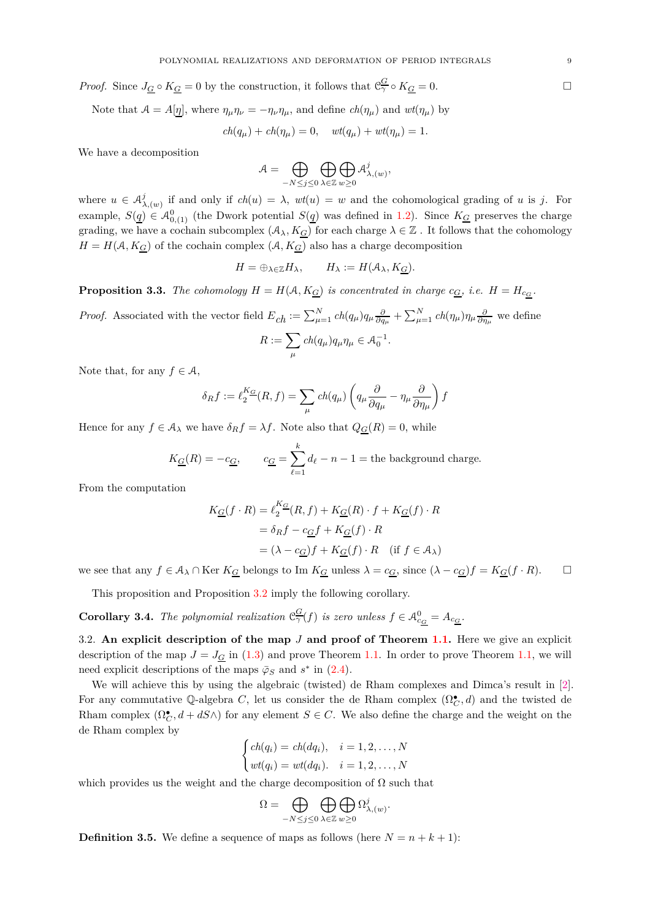*Proof.* Since  $J_G \circ K_G = 0$  by the construction, it follows that  $\mathcal{C}^G_\gamma \circ K_G = 0$ .

Note that  $A = A[\eta]$ , where  $\eta_{\mu}\eta_{\nu} = -\eta_{\nu}\eta_{\mu}$ , and define  $ch(\eta_{\mu})$  and  $wt(\eta_{\mu})$  by

$$
ch(q_{\mu}) + ch(\eta_{\mu}) = 0, \quad wt(q_{\mu}) + wt(\eta_{\mu}) = 1.
$$

We have a decomposition

$$
\mathcal{A} = \bigoplus_{-N \leq j \leq 0} \bigoplus_{\lambda \in \mathbb{Z}} \bigoplus_{w \geq 0} \mathcal{A}^j_{\lambda,(w)},
$$

where  $u \in \mathcal{A}^j_\lambda$ *λ,*(*w*) if and only if *ch*(*u*) = *λ*, *wt*(*u*) = *w* and the cohomological grading of *u* is *j*. For example,  $S(\underline{q}) \in \mathcal{A}_{0,(1)}^0$  (the Dwork potential  $S(\underline{q})$  was defined in [1.2\)](#page-1-8). Since  $K_{\underline{G}}$  preserves the charge grading, we have a cochain subcomplex  $(A_\lambda, K_\underline{G})$  for each charge  $\lambda \in \mathbb{Z}$ . It follows that the cohomology  $H = H(A, K_G)$  of the cochain complex  $(A, K_G)$  also has a charge decomposition

$$
H = \oplus_{\lambda \in \mathbb{Z}} H_{\lambda}, \qquad H_{\lambda} := H(\mathcal{A}_{\lambda}, K_{\underline{G}}).
$$

<span id="page-8-1"></span>**Proposition 3.3.** *The cohomology*  $H = H(A, K_{\underline{G}})$  *is concentrated in charge*  $c_{\underline{G}}$ *, i.e.*  $H = H_{c_{\underline{G}}}$ *.* 

*Proof.* Associated with the vector field 
$$
E_{ch} := \sum_{\mu=1}^{N} ch(q_{\mu})q_{\mu} \frac{\partial}{\partial q_{\mu}} + \sum_{\mu=1}^{N} ch(\eta_{\mu})\eta_{\mu} \frac{\partial}{\partial \eta_{\mu}}
$$
 we define\n
$$
R := \sum_{\mu} ch(q_{\mu})q_{\mu}\eta_{\mu} \in \mathcal{A}_{0}^{-1}.
$$

Note that, for any  $f \in \mathcal{A}$ ,

$$
\delta_R f := \ell_2^{K_G}(R, f) = \sum_{\mu} ch(q_{\mu}) \left( q_{\mu} \frac{\partial}{\partial q_{\mu}} - \eta_{\mu} \frac{\partial}{\partial \eta_{\mu}} \right) f
$$

Hence for any  $f \in A_\lambda$  we have  $\delta_R f = \lambda f$ . Note also that  $Q_G(R) = 0$ , while

$$
K_{\underline{G}}(R) = -c_{\underline{G}},
$$
  $c_{\underline{G}} = \sum_{\ell=1}^{k} d_{\ell} - n - 1$  = the background charge.

From the computation

$$
K_{\underline{G}}(f \cdot R) = \ell_2^{K_{\underline{G}}}(R, f) + K_{\underline{G}}(R) \cdot f + K_{\underline{G}}(f) \cdot R
$$
  
=  $\delta_R f - c_{\underline{G}} f + K_{\underline{G}}(f) \cdot R$   
=  $(\lambda - c_{\underline{G}}) f + K_{\underline{G}}(f) \cdot R$  (if  $f \in A_{\lambda}$ )

we see that any  $f \in A_\lambda \cap \text{Ker } K_G$  belongs to Im  $K_G$  unless  $\lambda = c_G$ , since  $(\lambda - c_G)f = K_G(f \cdot R)$ .

This proposition and Proposition [3.2](#page-7-6) imply the following corollary.

**Corollary 3.4.** The polynomial realization  $\mathcal{C}_{\gamma}^{\mathcal{G}}(f)$  is zero unless  $f \in \mathcal{A}_{c_{\mathcal{G}}}^{0} = A_{c_{\mathcal{G}}}$ .

<span id="page-8-0"></span>3.2. **An explicit description of the map** *J* **and proof of Theorem [1.1.](#page-1-0)** Here we give an explicit description of the map  $J = J_{\underline{G}}$  in [\(1.3\)](#page-1-9) and prove Theorem [1.1.](#page-1-0) In order to prove Theorem [1.1,](#page-1-0) we will need explicit descriptions of the maps  $\bar{\varphi}_S$  and  $s^*$  in [\(2.4\)](#page-5-1).

We will achieve this by using the algebraic (twisted) de Rham complexes and Dimca's result in [\[2\]](#page-18-7). For any commutative Q-algebra *C*, let us consider the de Rham complex  $(\Omega_C^{\bullet}, d)$  and the twisted de Rham complex  $(\Omega_C^{\bullet}, d + dS \wedge)$  for any element  $S \in C$ . We also define the charge and the weight on the de Rham complex by

$$
\begin{cases} ch(q_i) = ch(dq_i), & i = 1, 2, ..., N \\ wt(q_i) = wt(dq_i). & i = 1, 2, ..., N \end{cases}
$$

which provides us the weight and the charge decomposition of  $\Omega$  such that

$$
\Omega = \bigoplus_{-N \leq j \leq 0} \bigoplus_{\lambda \in \mathbb{Z}} \bigoplus_{w \geq 0} \Omega^j_{\lambda,(w)}.
$$

**Definition 3.5.** We define a sequence of maps as follows (here  $N = n + k + 1$ ):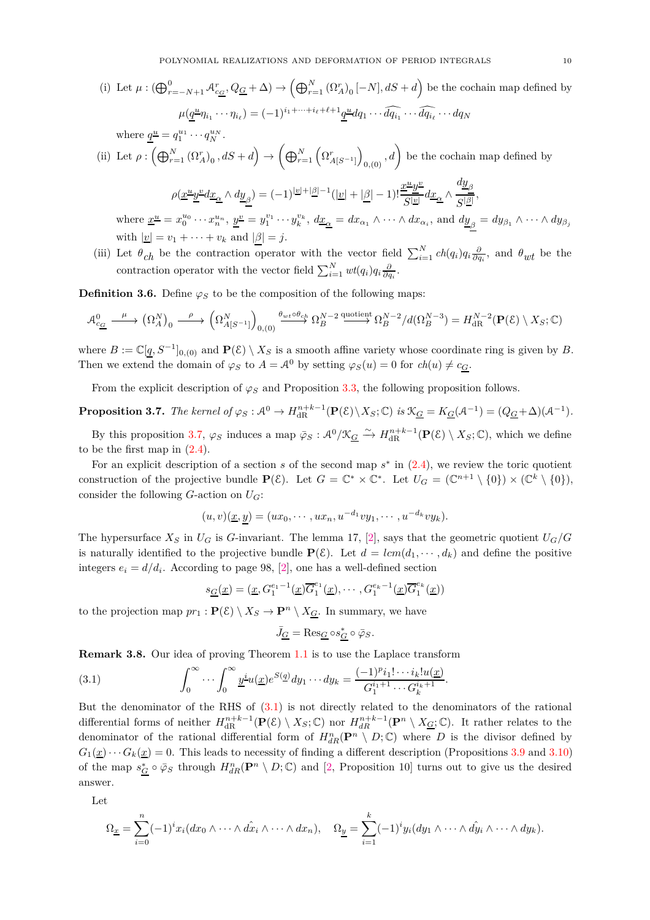(i) Let  $\mu: (\bigoplus_{r=-N+1}^{0} \mathcal{A}_{c_{\underline{G}}}^{r}, Q_{\underline{G}} + \Delta) \rightarrow (\bigoplus_{r=1}^{N} (\Omega_{A}^{r})_{0} [-N], dS + d \right)$  be the cochain map defined by  $\mu(\underline{q}^{\underline{u}}\eta_{i_1}\cdots\eta_{i_\ell})=(-1)^{i_1+\cdots+i_\ell+\ell+1}\underline{q}^{\underline{u}}dq_1\cdots\widehat{dq_{i_1}}\cdots\widehat{dq_{i_\ell}}\cdots dq_N$ 

where 
$$
\underline{q}^{\underline{u}} = q_1^{u_1} \cdots q_N^{u_N}
$$
.  
\n(ii) Let  $\rho : (\bigoplus_{r=1}^N (\Omega_{A}^r)_0, dS + d) \to (\bigoplus_{r=1}^N (\Omega_{A[S^{-1}]}^r)_{0,(0)}, d)$  be the cochain map defined by  
\n
$$
\rho(\underline{x}^{\underline{u}}\underline{y}^{\underline{v}}d\underline{x}_{\underline{\alpha}} \wedge d\underline{y}_{\underline{\beta}}) = (-1)^{|\underline{v}| + |\underline{\beta}| - 1} (|\underline{v}| + |\underline{\beta}| - 1)! \frac{\underline{x}^{\underline{u}}\underline{y}^{\underline{v}}}{|S^{|\underline{v}|}} d\underline{x}_{\underline{\alpha}} \wedge \frac{d\underline{y}_{\underline{\beta}}}{|S^{|\underline{\beta}|}},
$$
\nwhere  $x^{\underline{u}} = x^{\underline{u}_0} \wedge \cdots x^{\underline{u}_n} \wedge x^{\underline{v}} = x^{\underline{v}_1} \cdots x^{\underline{v}_k} \wedge dx = dx \wedge \cdots \wedge dx$ , and  $du = du \wedge \cdots \wedge du$ .

where  $\underline{x}^{\underline{u}} = x_0^{u_0} \cdots x_n^{u_n}$ ,  $\underline{y}^{\underline{v}} = y_1^{v_1} \cdots y_k^{v_k}$ ,  $d\underline{x}_{\underline{\alpha}} = dx_{\alpha_1} \wedge \cdots \wedge dx_{\alpha_i}$ , and  $d\underline{y}_{\beta} = dy_{\beta_1} \wedge \cdots \wedge dy_{\beta_j}$ with  $|\underline{v}| = v_1 + \cdots + v_k$  and  $|\beta| = j$ .

(iii) Let  $\theta_{ch}$  be the contraction operator with the vector field  $\sum_{i=1}^{N} ch(q_i)q_i\frac{\partial}{\partial q_i}$ , and  $\theta_{wt}$  be the contraction operator with the vector field  $\sum_{i=1}^{N} wt(q_i)q_i \frac{\partial}{\partial q_i}$ .

**Definition 3.6.** Define  $\varphi_S$  to be the composition of the following maps:

$$
\mathcal{A}_{c_{\underline{G}}}^{0} \xrightarrow{\mu} (\Omega_{A}^{N})_{0} \xrightarrow{\rho} (\Omega_{A[S^{-1}]}^{N})_{0,(0)} \xrightarrow{\theta_{wt} \circ \theta_{ch}} \Omega_{B}^{N-2} \xrightarrow{\text{quotient}} \Omega_{B}^{N-2}/d(\Omega_{B}^{N-3}) = H_{\text{dR}}^{N-2}(\mathbf{P}(\mathcal{E}) \setminus X_{S}; \mathbb{C})
$$

where  $B := \mathbb{C}[q, S^{-1}]_{0,(0)}$  and  $\mathbf{P}(\mathcal{E}) \setminus X_S$  is a smooth affine variety whose coordinate ring is given by *B*. Then we extend the domain of  $\varphi_S$  to  $A = A^0$  by setting  $\varphi_S(u) = 0$  for  $ch(u) \neq c_G$ .

From the explicit description of  $\varphi_S$  and Proposition [3.3,](#page-8-1) the following proposition follows.

# <span id="page-9-0"></span>**Proposition 3.7.** The kernel of  $\varphi_S : A^0 \to H_{\text{dR}}^{n+k-1}(\mathbf{P}(\mathcal{E}) \setminus X_S; \mathbb{C})$  *is*  $\mathcal{K}_{\underline{G}} = K_{\underline{G}}(A^{-1}) = (Q_{\underline{G}} + \Delta)(A^{-1})$ *.*

By this proposition [3.7,](#page-9-0)  $\varphi_S$  induces a map  $\bar{\varphi}_S : \mathcal{A}^0/\mathcal{K}_{\underline{G}} \xrightarrow{\sim} H_{\text{dR}}^{n+k-1}(\mathbf{P}(\mathcal{E}) \setminus X_S; \mathbb{C})$ , which we define to be the first map in [\(2.4\)](#page-5-1).

For an explicit description of a section  $s$  of the second map  $s^*$  in  $(2.4)$ , we review the toric quotient construction of the projective bundle  $\mathbf{P}(\mathcal{E})$ . Let  $G = \mathbb{C}^* \times \mathbb{C}^*$ . Let  $U_G = (\mathbb{C}^{n+1} \setminus \{0\}) \times (\mathbb{C}^k \setminus \{0\}),$ consider the following *G*-action on *UG*:

$$
(u,v)(\underline{x},\underline{y})=(ux_0,\cdots,ux_n,u^{-d_1}vy_1,\cdots,u^{-d_k}vy_k).
$$

The hypersurface  $X_S$  in  $U_G$  is *G*-invariant. The lemma 17, [\[2\]](#page-18-7), says that the geometric quotient  $U_G/G$ is naturally identified to the projective bundle  $\mathbf{P}(\mathcal{E})$ . Let  $d = lcm(d_1, \dots, d_k)$  and define the positive integers  $e_i = d/d_i$ . According to page 98, [\[2\]](#page-18-7), one has a well-defined section

<span id="page-9-1"></span>
$$
s_{\underline{G}}(\underline{x}) = (\underline{x}, G_1^{e_1-1}(\underline{x})\overline{G}_1^{e_1}(\underline{x}), \cdots, G_1^{e_k-1}(\underline{x})\overline{G}_1^{e_k}(\underline{x}))
$$

to the projection map  $pr_1 : \mathbf{P}(\mathcal{E}) \setminus X_S \to \mathbf{P}^n \setminus X_{\underline{G}}$ . In summary, we have

$$
\bar{J}_{\underline{G}} = \text{Res}_{\underline{G}} \circ s_{\underline{G}}^* \circ \bar{\varphi}_S.
$$

**Remark 3.8.** Our idea of proving Theorem [1.1](#page-1-0) is to use the Laplace transform

(3.1) 
$$
\int_0^\infty \cdots \int_0^\infty \frac{y^i u(x) e^{S(q)} dy_1 \cdots dy_k = \frac{(-1)^p i_1! \cdots i_k! u(x)}{G_1^{i_1+1} \cdots G_k^{i_k+1}}.
$$

But the denominator of the RHS of [\(3.1\)](#page-9-1) is not directly related to the denominators of the rational differential forms of neither  $H_{\text{dR}}^{n+k-1}(\mathbf{P}(\mathcal{E}) \setminus X_S; \mathbb{C})$  nor  $H_{\text{dR}}^{n+k-1}(\mathbf{P}^n \setminus X_{\underline{G}}; \mathbb{C})$ . It rather relates to the denominator of the rational differential form of  $H_{dR}^n(\mathbf{P}^n \setminus D;\mathbb{C})$  where D is the divisor defined by  $G_1(\underline{x}) \cdots G_k(\underline{x}) = 0$ . This leads to necessity of finding a different description (Propositions [3.9](#page-10-0) and [3.10\)](#page-10-1) of the map  $s_{\underline{G}}^* \circ \bar{\varphi}_S$  through  $H_{dR}^n(\mathbf{P}^n \setminus D; \mathbb{C})$  and [\[2,](#page-18-7) Proposition 10] turns out to give us the desired answer.

Let

$$
\Omega_{\underline{x}} = \sum_{i=0}^{n} (-1)^{i} x_{i} (dx_{0} \wedge \cdots \wedge \hat{dx}_{i} \wedge \cdots \wedge dx_{n}), \quad \Omega_{\underline{y}} = \sum_{i=1}^{k} (-1)^{i} y_{i} (dy_{1} \wedge \cdots \wedge \hat{dy}_{i} \wedge \cdots \wedge dy_{k}).
$$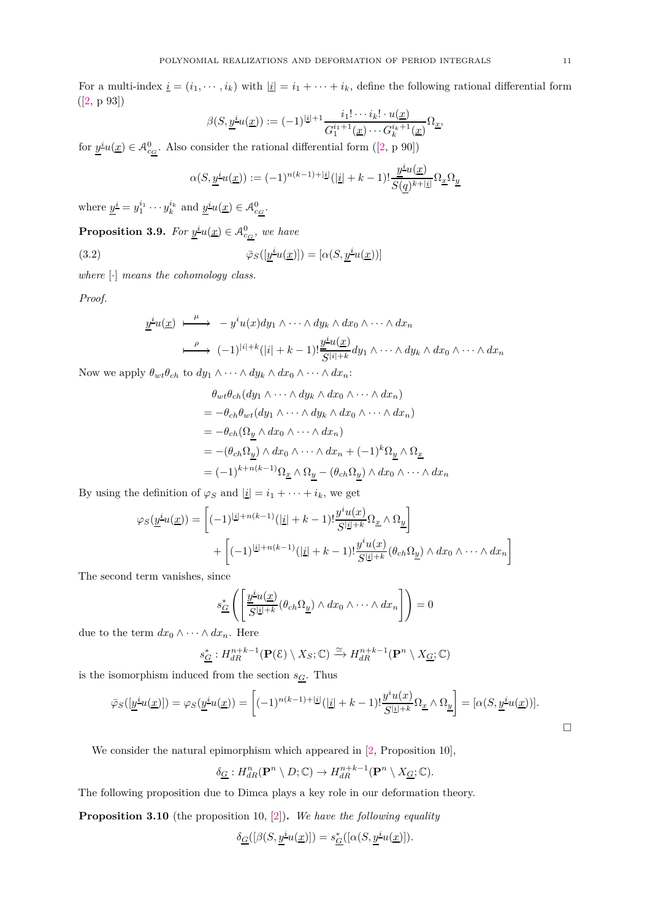For a multi-index  $\underline{i} = (i_1, \dots, i_k)$  with  $|\underline{i}| = i_1 + \dots + i_k$ , define the following rational differential form  $([2, p 93])$  $([2, p 93])$  $([2, p 93])$ 

$$
\beta(S, \underline{y}^{\underline{i}}u(\underline{x})) := (-1)^{|\underline{i}|+1} \frac{i_1! \cdots i_k! \cdot u(\underline{x})}{G_1^{i_1+1}(\underline{x}) \cdots G_k^{i_k+1}(\underline{x})} \Omega_{\underline{x}},
$$

for $\underline{y}^i u(\underline{x}) \in \mathcal{A}_{c_{\underline{G}}}^0$ . Also consider the rational differential form ([\[2,](#page-18-7) p 90])

<span id="page-10-2"></span>
$$
\alpha(S,\underline{y}^{\underline{i}}u(\underline{x})):=(-1)^{n(k-1)+|\underline{i}|}(|\underline{i}|+k-1)!\frac{\underline{y}^{\underline{i}}u(\underline{x})}{S(\underline{q})^{k+|\underline{i}|}}\Omega_{\underline{x}}\Omega_{\underline{y}}
$$

where  $\underline{y}^{\underline{i}} = y_1^{i_1} \cdots y_k^{i_k}$  and  $\underline{y}^{\underline{i}}u(\underline{x}) \in \mathcal{A}_{c_G}^0$ .

<span id="page-10-0"></span>**Proposition 3.9.** *For*  $\underline{y}^{\underline{i}}u(\underline{x}) \in \mathcal{A}_{c_G}^0$ , we have

(3.2) 
$$
\bar{\varphi}_S([\underline{y}^{\underline{i}}u(\underline{x})]) = [\alpha(S, \underline{y}^{\underline{i}}u(\underline{x}))]
$$

*where* [·] *means the cohomology class.*

*Proof.*

$$
\underline{y}^{i}u(\underline{x}) \xrightarrow{\mu} -y^{i}u(x)dy_1 \wedge \cdots \wedge dy_k \wedge dx_0 \wedge \cdots \wedge dx_n
$$
\n
$$
\xrightarrow{\rho} (-1)^{|i|+k}(|i|+k-1)!\frac{\underline{y}^{i}u(\underline{x})}{S^{|i|+k}}dy_1 \wedge \cdots \wedge dy_k \wedge dx_0 \wedge \cdots \wedge dx_n
$$

Now we apply  $\theta_{wt}\theta_{ch}$  to  $dy_1 \wedge \cdots \wedge dy_k \wedge dx_0 \wedge \cdots \wedge dx_n$ :

$$
\theta_{wt}\theta_{ch}(dy_1 \wedge \cdots \wedge dy_k \wedge dx_0 \wedge \cdots \wedge dx_n)
$$
  
=  $-\theta_{ch}\theta_{wt}(dy_1 \wedge \cdots \wedge dy_k \wedge dx_0 \wedge \cdots \wedge dx_n)$   
=  $-\theta_{ch}(\Omega_{\underline{y}} \wedge dx_0 \wedge \cdots \wedge dx_n)$   
=  $-(\theta_{ch}\Omega_{\underline{y}}) \wedge dx_0 \wedge \cdots \wedge dx_n + (-1)^k \Omega_{\underline{y}} \wedge \Omega_{\underline{x}}$   
=  $(-1)^{k+n(k-1)} \Omega_{\underline{x}} \wedge \Omega_{\underline{y}} - (\theta_{ch}\Omega_{\underline{y}}) \wedge dx_0 \wedge \cdots \wedge dx_n$ 

By using the definition of  $\varphi_S$  and  $|\underline{i}| = i_1 + \cdots + i_k$ , we get

$$
\varphi_S(\underline{y}^{\underline{i}}u(\underline{x})) = \left[ (-1)^{|\underline{i}| + n(k-1)} (|\underline{i}| + k - 1)! \frac{y^{\underline{i}}u(\underline{x})}{S^{|\underline{i}| + k}} \Omega_{\underline{x}} \wedge \Omega_{\underline{y}} \right] + \left[ (-1)^{|\underline{i}| + n(k-1)} (|\underline{i}| + k - 1)! \frac{y^{\underline{i}}u(\underline{x})}{S^{|\underline{i}| + k}} (\theta_{ch}\Omega_{\underline{y}}) \wedge dx_0 \wedge \cdots \wedge dx_n \right]
$$

The second term vanishes, since

$$
s_{\underline{G}}^* \left( \left[ \frac{\underline{y}^{\underline{i}} u(\underline{x})}{\overline{S^{|\underline{i}|+k}}} (\theta_{ch} \Omega_{\underline{y}}) \wedge dx_0 \wedge \cdots \wedge dx_n \right] \right) = 0
$$

due to the term  $dx_0 \wedge \cdots \wedge dx_n$ . Here

$$
s_{\underline{G}}^*: H_{dR}^{n+k-1}(\mathbf{P}(\mathcal{E}) \setminus X_S; \mathbb{C}) \xrightarrow{\simeq} H_{dR}^{n+k-1}(\mathbf{P}^n \setminus X_{\underline{G}}; \mathbb{C})
$$

is the isomorphism induced from the section  $s_{\underline{G}}.$  Thus

$$
\bar{\varphi}_S([\underline{y}^{\underline{i}}u(\underline{x})]) = \varphi_S(\underline{y}^{\underline{i}}u(\underline{x})) = \left[ (-1)^{n(k-1)+|\underline{i}|} (|\underline{i}|+k-1)! \frac{y^{\underline{i}}u(\underline{x})}{S^{|\underline{i}|+k}} \Omega_{\underline{x}} \wedge \Omega_{\underline{y}} \right] = [\alpha(S, \underline{y}^{\underline{i}}u(\underline{x}))].
$$

We consider the natural epimorphism which appeared in [\[2,](#page-18-7) Proposition 10],

$$
\delta_{\underline{G}}: H_{dR}^n(\mathbf{P}^n \setminus D; \mathbb{C}) \to H_{dR}^{n+k-1}(\mathbf{P}^n \setminus X_{\underline{G}}; \mathbb{C}).
$$

The following proposition due to Dimca plays a key role in our deformation theory.

<span id="page-10-1"></span>**Proposition 3.10** (the proposition 10, [\[2\]](#page-18-7))**.** *We have the following equality*

$$
\delta_{\underline{G}}([\beta(S, \underline{y}^{\underline{i}} u(\underline{x})]) = s_{\underline{G}}^*([\alpha(S, \underline{y}^{\underline{i}} u(\underline{x})]).
$$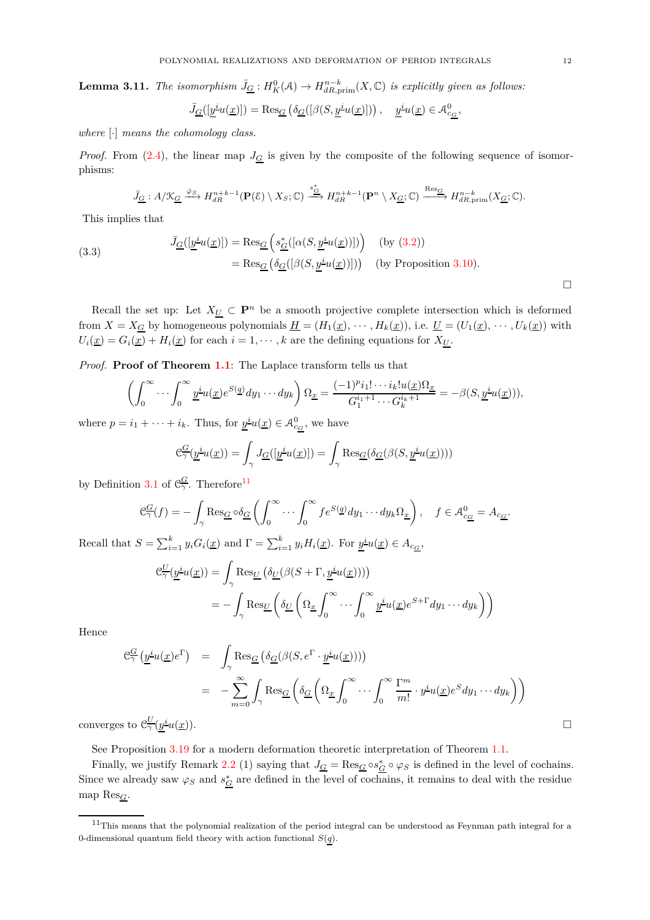**Lemma 3.11.** *The isomorphism*  $\bar{J}_\mathcal{G}: H^0_K(\mathcal{A}) \to H^{n-k}_{dR,\text{prim}}(X,\mathbb{C})$  *is explicitly given as follows:* 

$$
\bar{J}_{\underline{G}}([\underline{y}^{\underline{i}}u(\underline{x})]) = \text{Res}_{\underline{G}}\left(\delta_{\underline{G}}([\beta(S, \underline{y}^{\underline{i}}u(\underline{x})]))\right), \quad \underline{y}^{\underline{i}}u(\underline{x}) \in \mathcal{A}^0_{c_{\underline{G}}},
$$

*where* [·] *means the cohomology class.*

*Proof.* From [\(2.4\)](#page-5-1), the linear map  $J<sub>G</sub>$  is given by the composite of the following sequence of isomorphisms:

$$
\bar{J}_{\underline{G}}: A/\mathfrak{X}_{\underline{G}} \xrightarrow{\bar{\varphi}_S} H^{n+k-1}_{dR}(\mathbf{P}(\mathcal{E}) \setminus X_S; \mathbb{C}) \xrightarrow{\bar{s}_{\underline{G}}^*} H^{n+k-1}_{dR}(\mathbf{P}^n \setminus X_{\underline{G}}; \mathbb{C}) \xrightarrow{\text{Res}_{\underline{G}}} H^{n-k}_{dR, \text{prim}}(X_{\underline{G}}; \mathbb{C}).
$$

This implies that

(3.3) 
$$
\bar{J}_{\underline{G}}([\underline{y}^{\underline{i}}u(\underline{x})]) = \text{Res}_{\underline{G}}\left(s_{\underline{G}}^*([\alpha(S, \underline{y}^{\underline{i}}u(\underline{x}))])\right) \quad \text{(by (3.2))}
$$

$$
= \text{Res}_{\underline{G}}\left(\delta_{\underline{G}}([\beta(S, \underline{y}^{\underline{i}}u(\underline{x}))])\right) \quad \text{(by Proposition 3.10)}.
$$

Recall the set up: Let  $X_{\underline{U}} \subset \mathbf{P}^n$  be a smooth projective complete intersection which is deformed from  $X = X_{\underline{G}}$  by homogeneous polynomials  $\underline{H} = (H_1(\underline{x}), \cdots, H_k(\underline{x})),$  i.e.  $\underline{U} = (U_1(\underline{x}), \cdots, U_k(\underline{x}))$  with  $U_i(\underline{x}) = G_i(\underline{x}) + H_i(\underline{x})$  for each  $i = 1, \dots, k$  are the defining equations for  $X_{\underline{U}}$ .

*Proof.* **Proof of Theorem [1.1](#page-1-0)**: The Laplace transform tells us that

$$
\left(\int_0^\infty \cdots \int_0^\infty \underline{y}^{\underline{i}} u(\underline{x}) e^{S(\underline{q})} dy_1 \cdots dy_k\right) \Omega_{\underline{x}} = \frac{(-1)^p i_1! \cdots i_k! u(\underline{x}) \Omega_{\underline{x}}}{G_1^{i_1+1} \cdots G_k^{i_k+1}} = -\beta(S, \underline{y}^{\underline{i}} u(\underline{x}))),
$$

where  $p = i_1 + \cdots + i_k$ . Thus, for  $\underline{y}^i u(\underline{x}) \in \mathcal{A}_{c_G}^0$ , we have

$$
\mathcal{C}_{\gamma}^{\underline{G}}(\underline{y}^{\underline{i}}u(\underline{x})) = \int_{\gamma} J_{\underline{G}}([\underline{y}^{\underline{i}}u(\underline{x})]) = \int_{\gamma} \text{Res}_{\underline{G}}(\delta_{\underline{G}}(\beta(S, \underline{y}^{\underline{i}}u(\underline{x}))))
$$

by Definition [3.1](#page-7-7) of  $\mathfrak{C}_{\gamma}^G$ . Therefore<sup>[11](#page-11-0)</sup>

$$
\mathcal{C}_{\gamma}^{\underline{G}}(f) = -\int_{\gamma} \operatorname{Res}_{\underline{G}} \circ \delta_{\underline{G}} \left( \int_{0}^{\infty} \cdots \int_{0}^{\infty} f e^{S(\underline{q})} dy_1 \cdots dy_k \Omega_{\underline{x}} \right), \quad f \in \mathcal{A}_{c_{\underline{G}}}^{0} = A_{c_{\underline{G}}}.
$$

Recall that  $S = \sum_{i=1}^{k} y_i G_i(\underline{x})$  and  $\Gamma = \sum_{i=1}^{k} y_i H_i(\underline{x})$ . For  $\underline{y}^{\underline{i}} u(\underline{x}) \in A_{c_{\underline{G}}},$ 

$$
\mathcal{C}_{\gamma}^{\underline{U}}(\underline{y}^{\underline{i}}u(\underline{x})) = \int_{\gamma} \text{Res}_{\underline{U}} \left( \delta_{\underline{U}}(\beta(S + \Gamma, \underline{y}^{\underline{i}}u(\underline{x}))) \right)
$$
  
= 
$$
- \int_{\gamma} \text{Res}_{\underline{U}} \left( \delta_{\underline{U}} \left( \Omega_{\underline{x}} \int_{0}^{\infty} \cdots \int_{0}^{\infty} \underline{y}^{\underline{i}}u(\underline{x}) e^{S + \Gamma} dy_1 \cdots dy_k \right) \right)
$$

Hence

$$
\begin{array}{rcl}\n\mathcal{C}_{\gamma}^{\underline{G}}\left(\underline{y}^{\underline{i}}u(\underline{x})e^{\Gamma}\right) & = & \displaystyle\int_{\gamma}\operatorname{Res}_{\underline{G}}\left(\delta_{\underline{G}}(\beta(S,e^{\Gamma}\cdot\underline{y}^{\underline{i}}u(\underline{x})))\right) \\
& = & -\sum_{m=0}^{\infty}\int_{\gamma}\operatorname{Res}_{\underline{G}}\left(\delta_{\underline{G}}\left(\Omega_{\underline{x}}\int_{0}^{\infty}\cdots\int_{0}^{\infty}\frac{\Gamma^{m}}{m!}\cdot\underline{y}^{\underline{i}}u(\underline{x})e^{S}dy_{1}\cdots dy_{k}\right)\right) \\
\text{s to } \mathcal{C}_{\gamma}^{\underline{U}}(y^{\underline{i}}u(\underline{x})).\n\end{array}
$$

converges to  $\mathcal{C}^{\underline{U}}_{\gamma}(y)$ 

See Proposition [3.19](#page-14-1) for a modern deformation theoretic interpretation of Theorem [1.1.](#page-1-0)

Finally, we justify Remark [2.2](#page-5-5) (1) saying that  $J_{\underline{G}} = \text{Res}_{\underline{G}} \circ s_{\underline{G}}^* \circ \varphi_S$  is defined in the level of cochains. Since we already saw  $\varphi_S$  and  $s_G^*$  are defined in the level of cochains, it remains to deal with the residue map Res*G*.

 $\Box$ 

<span id="page-11-0"></span><sup>11</sup>This means that the polynomial realization of the period integral can be understood as Feynman path integral for a 0-dimensional quantum field theory with action functional *S*(*q*).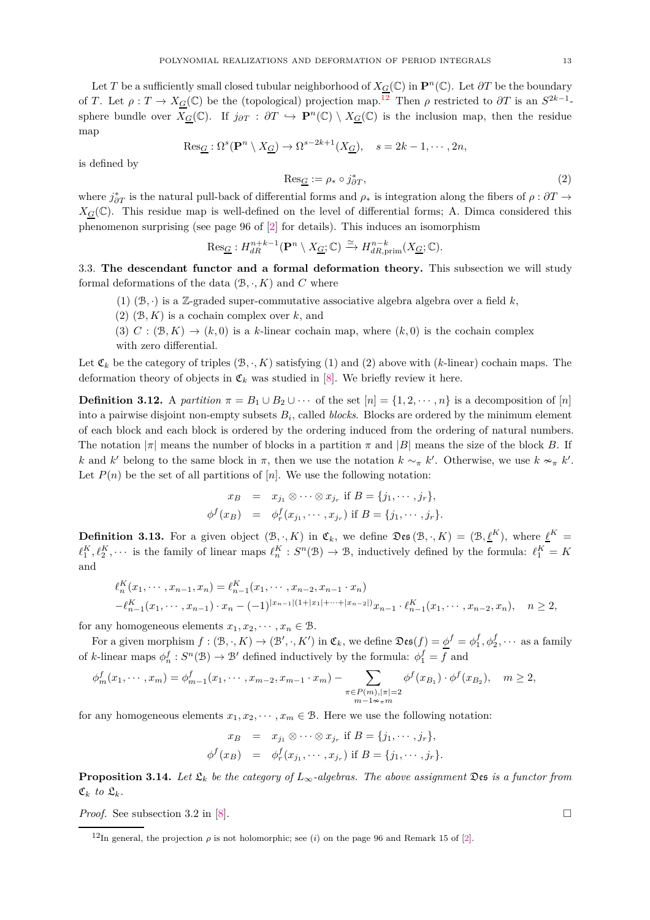Let *T* be a sufficiently small closed tubular neighborhood of  $X_G(\mathbb{C})$  in  $\mathbb{P}^n(\mathbb{C})$ . Let  $\partial T$  be the boundary of *T*. Let  $\rho: T \to X_{\mathcal{G}}(\mathbb{C})$  be the (topological) projection map.<sup>[12](#page-12-2)</sup> Then  $\rho$  restricted to  $\partial T$  is an  $S^{2k-1}$ sphere bundle over  $X_G(\mathbb{C})$ . If  $j_{\partial T} : \partial T \hookrightarrow \mathbf{P}^n(\mathbb{C}) \setminus X_G(\mathbb{C})$  is the inclusion map, then the residue map

$$
\text{Res}_{\underline{G}} : \Omega^s(\mathbf{P}^n \setminus X_{\underline{G}}) \to \Omega^{s-2k+1}(X_{\underline{G}}), \quad s = 2k - 1, \cdots, 2n,
$$

is defined by

$$
\text{Res}_{\underline{G}} := \rho_* \circ j_{\partial T}^*,\tag{2}
$$

where  $j^*_{\partial T}$  is the natural pull-back of differential forms and  $\rho_*$  is integration along the fibers of  $\rho : \partial T \to$  $X_G(\mathbb{C})$ . This residue map is well-defined on the level of differential forms; A. Dimca considered this phenomenon surprising (see page 96 of [\[2\]](#page-18-7) for details). This induces an isomorphism

$$
\mathrm{Res}_{\underline{G}}: H^{n+k-1}_{dR}(\mathbf{P}^n\setminus X_{\underline{G}};\mathbb{C})\xrightarrow{\simeq} H^{n-k}_{dR,\mathrm{prim}}(X_{\underline{G}};\mathbb{C}).
$$

<span id="page-12-0"></span>3.3. **The descendant functor and a formal deformation theory.** This subsection we will study formal deformations of the data  $(B, \cdot, K)$  and  $C$  where

- (1)  $(\mathcal{B}, \cdot)$  is a Z-graded super-commutative associative algebra algebra over a field *k*,
- $(2)$   $(B, K)$  is a cochain complex over  $k$ , and

(3)  $C : (\mathcal{B}, K) \to (k, 0)$  is a *k*-linear cochain map, where  $(k, 0)$  is the cochain complex with zero differential.

Let  $\mathfrak{C}_k$  be the category of triples  $(\mathcal{B}, \cdot, K)$  satisfying (1) and (2) above with (*k*-linear) cochain maps. The deformation theory of objects in  $\mathfrak{C}_k$  was studied in [\[8\]](#page-18-6). We briefly review it here.

<span id="page-12-1"></span>**Definition 3.12.** A *partition*  $\pi = B_1 \cup B_2 \cup \cdots$  of the set  $[n] = \{1, 2, \cdots, n\}$  is a decomposition of  $[n]$ into a pairwise disjoint non-empty subsets *B<sup>i</sup>* , called *blocks*. Blocks are ordered by the minimum element of each block and each block is ordered by the ordering induced from the ordering of natural numbers. The notation  $|\pi|$  means the number of blocks in a partition  $\pi$  and  $|B|$  means the size of the block *B*. If *k* and *k*' belong to the same block in  $\pi$ , then we use the notation  $k \sim_{\pi} k'$ . Otherwise, we use  $k \nsim_{\pi} k'$ . Let  $P(n)$  be the set of all partitions of  $[n]$ . We use the following notation:

$$
x_B = x_{j_1} \otimes \cdots \otimes x_{j_r} \text{ if } B = \{j_1, \cdots, j_r\},
$$
  

$$
\phi^f(x_B) = \phi^f_r(x_{j_1}, \cdots, x_{j_r}) \text{ if } B = \{j_1, \cdots, j_r\}.
$$

<span id="page-12-3"></span>**Definition 3.13.** For a given object  $(\mathcal{B}, \cdot, K)$  in  $\mathfrak{C}_k$ , we define  $\mathfrak{Des}(\mathcal{B}, \cdot, K) = (\mathcal{B}, \underline{\ell}^K)$ , where  $\underline{\ell}^K =$  $\ell_1^K$ ,  $\ell_2^K$ ,  $\cdots$  is the family of linear maps  $\ell_n^K : S^n(\mathcal{B}) \to \mathcal{B}$ , inductively defined by the formula:  $\ell_1^K = K$ and

$$
\ell_n^K(x_1, \dots, x_{n-1}, x_n) = \ell_{n-1}^K(x_1, \dots, x_{n-2}, x_{n-1} \cdot x_n)
$$
  

$$
-\ell_{n-1}^K(x_1, \dots, x_{n-1}) \cdot x_n - (-1)^{|x_{n-1}|(1+|x_1|+\dots+|x_{n-2}|)} x_{n-1} \cdot \ell_{n-1}^K(x_1, \dots, x_{n-2}, x_n), \quad n \ge 2,
$$

for any homogeneous elements  $x_1, x_2, \dots, x_n \in \mathcal{B}$ .

For a given morphism  $f : (\mathcal{B}, \cdot, K) \to (\mathcal{B}', \cdot, K')$  in  $\mathfrak{C}_k$ , we define  $\mathfrak{Des}(f) = \underline{\phi}^f = \phi_1^f, \phi_2^f, \cdots$  as a family of *k*-linear maps  $\phi_n^f : S^n(\mathcal{B}) \to \mathcal{B}'$  defined inductively by the formula:  $\phi_1^f = f$  and

$$
\phi_m^f(x_1, \dots, x_m) = \phi_{m-1}^f(x_1, \dots, x_{m-2}, x_{m-1} \cdot x_m) - \sum_{\substack{\pi \in P(m), |\pi| = 2 \\ m - 1 \sim_{\pi} m}} \phi^f(x_{B_1}) \cdot \phi^f(x_{B_2}), \quad m \ge 2,
$$

for any homogeneous elements  $x_1, x_2, \dots, x_m \in \mathcal{B}$ . Here we use the following notation:

$$
x_B = x_{j_1} \otimes \cdots \otimes x_{j_r} \text{ if } B = \{j_1, \cdots, j_r\},
$$
  

$$
\phi^f(x_B) = \phi^f_r(x_{j_1}, \cdots, x_{j_r}) \text{ if } B = \{j_1, \cdots, j_r\}.
$$

**Proposition 3.14.** *Let*  $\mathfrak{L}_k$  *be the category of*  $L_\infty$ -algebras. The above assignment  $\mathfrak{Des}$  is a functor from  $\mathfrak{C}_k$  *to*  $\mathfrak{L}_k$ *.* 

*Proof.* See subsection 3.2 in [\[8\]](#page-18-6). □

<span id="page-12-2"></span><sup>&</sup>lt;sup>12</sup>In general, the projection  $\rho$  is not holomorphic; see (*i*) on the page 96 and Remark 15 of [\[2\]](#page-18-7).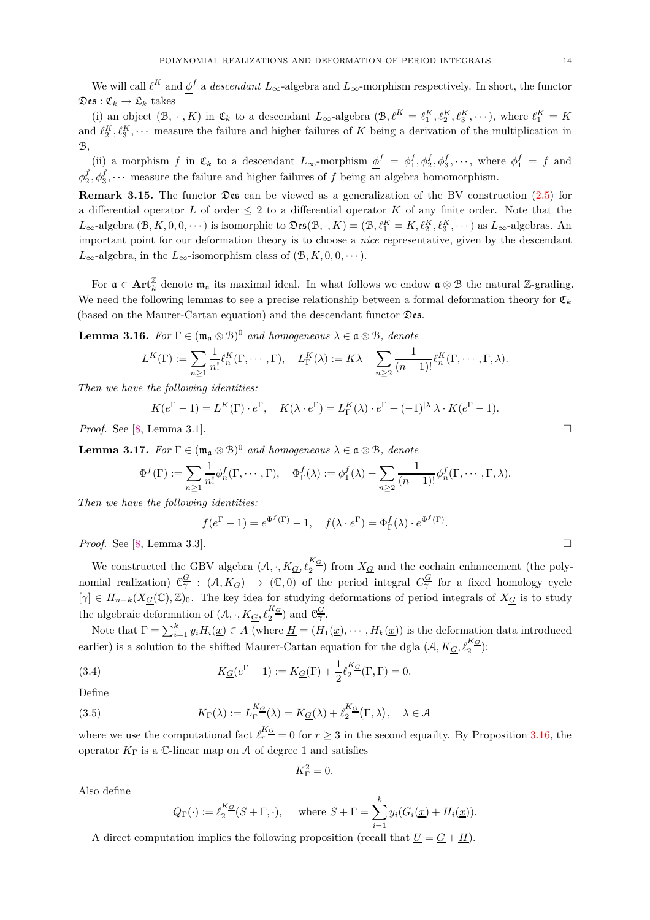We will call  $\underline{\ell}^K$  and  $\underline{\phi}^f$  a *descendant*  $L_\infty$ -algebra and  $L_\infty$ -morphism respectively. In short, the functor  $\mathfrak{Des}: \mathfrak{C}_k \rightarrow \mathfrak{L}_k$  takes

(i) an object  $(\mathcal{B}, \cdot, K)$  in  $\mathfrak{C}_k$  to a descendant  $L_\infty$ -algebra  $(\mathcal{B}, \underline{\ell}^K = \ell_1^K, \ell_2^K, \ell_3^K, \cdots)$ , where  $\ell_1^K = K$ and  $\ell_2^K$ ,  $\ell_3^K$ ,  $\cdots$  measure the failure and higher failures of *K* being a derivation of the multiplication in  $\mathcal{B},$ 

(ii) a morphism *f* in  $\mathfrak{C}_k$  to a descendant  $L_\infty$ -morphism  $\underline{\phi}^f = \phi_1^f, \phi_2^f, \phi_3^f, \cdots$ , where  $\phi_1^f = f$  and  $\phi_2^f, \phi_3^f, \cdots$  measure the failure and higher failures of *f* being an algebra homomorphism.

**Remark 3.15.** The functor Des can be viewed as a generalization of the BV construction [\(2.5\)](#page-6-2) for a differential operator *L* of order  $\leq 2$  to a differential operator *K* of any finite order. Note that the  $L_{\infty}$ -algebra  $(\mathcal{B}, K, 0, 0, \cdots)$  is isomorphic to  $\mathfrak{Des}(\mathcal{B}, \cdot, K) = (\mathcal{B}, \ell_1^K = K, \ell_2^K, \ell_3^K, \cdots)$  as  $L_{\infty}$ -algebras. An important point for our deformation theory is to choose a *nice* representative, given by the descendant  $L_{\infty}$ -algebra, in the  $L_{\infty}$ -isomorphism class of  $(\mathcal{B}, K, 0, 0, \cdots)$ .

For  $\mathfrak{a} \in \text{Art}_{k}^{\mathbb{Z}}$  denote  $\mathfrak{m}_{\mathfrak{a}}$  its maximal ideal. In what follows we endow  $\mathfrak{a} \otimes \mathfrak{B}$  the natural Z-grading. We need the following lemmas to see a precise relationship between a formal deformation theory for  $\mathfrak{C}_k$ (based on the Maurer-Cartan equation) and the descendant functor Des.

<span id="page-13-0"></span>**Lemma 3.16.** *For*  $\Gamma \in (\mathfrak{m}_{\mathfrak{a}} \otimes \mathfrak{B})^0$  *and homogeneous*  $\lambda \in \mathfrak{a} \otimes \mathfrak{B}$ *, denote* 

$$
L^K(\Gamma) := \sum_{n\geq 1} \frac{1}{n!} \ell_n^K(\Gamma, \cdots, \Gamma), \quad L_\Gamma^K(\lambda) := K\lambda + \sum_{n\geq 2} \frac{1}{(n-1)!} \ell_n^K(\Gamma, \cdots, \Gamma, \lambda).
$$

*Then we have the following identities:*

$$
K(e^{\Gamma} - 1) = L^{K}(\Gamma) \cdot e^{\Gamma}, \quad K(\lambda \cdot e^{\Gamma}) = L_{\Gamma}^{K}(\lambda) \cdot e^{\Gamma} + (-1)^{|\lambda|} \lambda \cdot K(e^{\Gamma} - 1).
$$

*Proof.* See [\[8,](#page-18-6) Lemma 3.1].

<span id="page-13-2"></span>**Lemma 3.17.** *For*  $\Gamma \in (\mathfrak{m}_{\mathfrak{a}} \otimes \mathfrak{B})^0$  *and homogeneous*  $\lambda \in \mathfrak{a} \otimes \mathfrak{B}$ *, denote* 

$$
\Phi^f(\Gamma) := \sum_{n\geq 1} \frac{1}{n!} \phi_n^f(\Gamma, \cdots, \Gamma), \quad \Phi_\Gamma^f(\lambda) := \phi_1^f(\lambda) + \sum_{n\geq 2} \frac{1}{(n-1)!} \phi_n^f(\Gamma, \cdots, \Gamma, \lambda).
$$

*Then we have the following identities:*

$$
f(e^{\Gamma} - 1) = e^{\Phi^f(\Gamma)} - 1, \quad f(\lambda \cdot e^{\Gamma}) = \Phi^f_{\Gamma}(\lambda) \cdot e^{\Phi^f(\Gamma)}.
$$

*Proof.* See [\[8,](#page-18-6) Lemma 3.3].

We constructed the GBV algebra  $(A, \cdot, K_{\underline{G}}, \ell_2^{K_{\underline{G}}})$  from  $X_{\underline{G}}$  and the cochain enhancement (the polynomial realization)  $\mathcal{C}^{\overline{G}}_{\gamma}$  :  $(\mathcal{A}, K_{\overline{G}}) \to (\mathbb{C}, 0)$  of the period integral  $C^{\overline{G}}_{\gamma}$  for a fixed homology cycle  $[\gamma] \in H_{n-k}(X_{\underline{G}}(\mathbb{C}), \mathbb{Z})_0$ . The key idea for studying deformations of period integrals of  $X_{\underline{G}}$  is to study the algebraic deformation of  $(A, \cdot, K_{\underline{G}}, \ell_2^{K_{\underline{G}}})$  and  $\mathfrak{C}_{\gamma}^{\underline{G}}$ .

Note that  $\Gamma = \sum_{i=1}^{k} y_i H_i(\underline{x}) \in A$  (where  $\underline{H} = (H_1(\underline{x}), \cdots, H_k(\underline{x}))$  is the deformation data introduced earlier) is a solution to the shifted Maurer-Cartan equation for the dgla  $(A, K_{\underline{G}}, \ell_2^{K_{\underline{G}}})$ :

(3.4) 
$$
K_{\underline{G}}(e^{\Gamma}-1) := K_{\underline{G}}(\Gamma) + \frac{1}{2} \ell_2^{K_{\underline{G}}}(\Gamma, \Gamma) = 0.
$$

Define

(3.5) 
$$
K_{\Gamma}(\lambda) := L_{\Gamma}^{K_{\underline{G}}}(\lambda) = K_{\underline{G}}(\lambda) + \ell_2^{K_{\underline{G}}}(\Gamma, \lambda), \quad \lambda \in \mathcal{A}
$$

where we use the computational fact  $\ell_r^{K_G} = 0$  for  $r \geq 3$  in the second equality. By Proposition [3.16,](#page-13-0) the operator  $K_{\Gamma}$  is a C-linear map on A of degree 1 and satisfies

<span id="page-13-1"></span>
$$
K_{\Gamma}^2=0.
$$

Also define

$$
Q_{\Gamma}(\cdot) := \ell_2^{K_{\underline{G}}}(S + \Gamma, \cdot), \quad \text{where } S + \Gamma = \sum_{i=1}^k y_i (G_i(\underline{x}) + H_i(\underline{x})).
$$

A direct computation implies the following proposition (recall that  $\underline{U} = \underline{G} + \underline{H}$ ).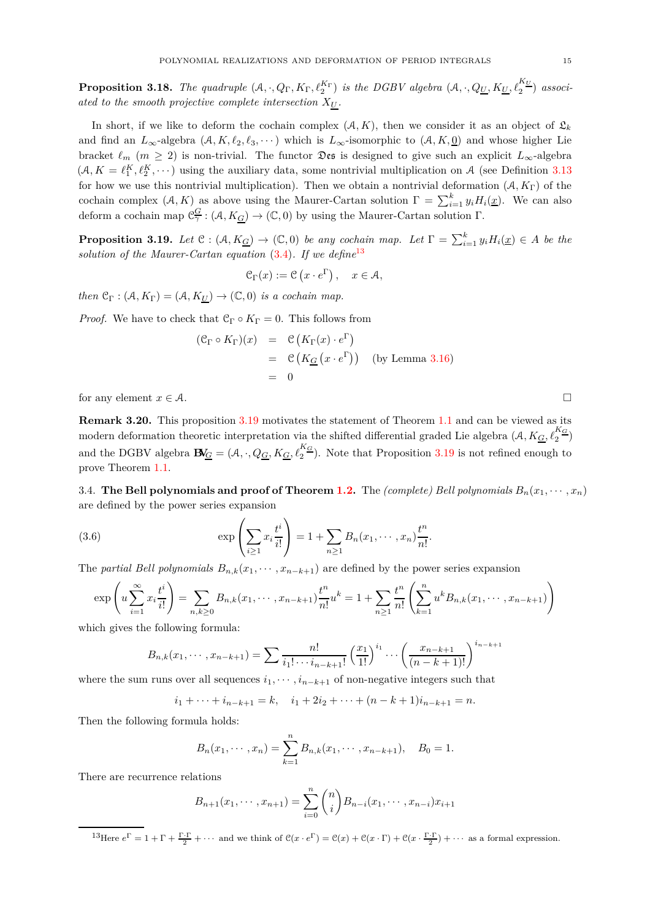**Proposition 3.18.** The quadruple  $(A, \cdot, Q_{\Gamma}, K_{\Gamma}, \ell_2^{K_{\Gamma}})$  is the DGBV algebra  $(A, \cdot, Q_{\underline{U}}, K_{\underline{U}}, \ell_2^{K_{\underline{U}}})$  associ*ated to the smooth projective complete intersection*  $X_U$ .

In short, if we like to deform the cochain complex  $(A, K)$ , then we consider it as an object of  $\mathfrak{L}_k$ and find an  $L_{\infty}$ -algebra  $(A, K, \ell_2, \ell_3, \cdots)$  which is  $L_{\infty}$ -isomorphic to  $(A, K, \underline{0})$  and whose higher Lie bracket  $\ell_m$  ( $m \geq 2$ ) is non-trivial. The functor  $\mathfrak{Des}$  is designed to give such an explicit  $L_{\infty}$ -algebra  $(A, K = \ell_1^K, \ell_2^K, \dots)$  using the auxiliary data, some nontrivial multiplication on A (see Definition [3.13](#page-12-3)) for how we use this nontrivial multiplication). Then we obtain a nontrivial deformation  $(A, K_{\Gamma})$  of the cochain complex  $(A, K)$  as above using the Maurer-Cartan solution  $\Gamma = \sum_{i=1}^{k} y_i H_i(\underline{x})$ . We can also deform a cochain map  $\mathfrak{C}^{\mathcal{G}}_{\gamma}: (\mathcal{A}, K_{\mathcal{G}}) \to (\mathbb{C}, 0)$  by using the Maurer-Cartan solution  $\Gamma$ .

<span id="page-14-1"></span>**Proposition 3.19.** Let  $C : (\mathcal{A}, K_{\underline{G}}) \to (\mathbb{C}, 0)$  be any cochain map. Let  $\Gamma = \sum_{i=1}^{k} y_i H_i(\underline{x}) \in A$  be the *solution of the Maurer-Cartan equation* [\(3.4\)](#page-13-1)*. If we define*[13](#page-14-2)

$$
\mathcal{C}_{\Gamma}(x) := \mathcal{C}(x \cdot e^{\Gamma}), \quad x \in \mathcal{A},
$$

*then*  $\mathcal{C}_{\Gamma}$  :  $(\mathcal{A}, K_{\Gamma}) = (\mathcal{A}, K_{U}) \rightarrow (\mathbb{C}, 0)$  *is a cochain map.* 

*Proof.* We have to check that  $C_{\Gamma} \circ K_{\Gamma} = 0$ . This follows from

$$
(\mathcal{C}_{\Gamma} \circ K_{\Gamma})(x) = \mathcal{C}(K_{\Gamma}(x) \cdot e^{\Gamma})
$$
  
=  $\mathcal{C}(K_{\underline{G}}(x \cdot e^{\Gamma}))$  (by Lemma 3.16)  
= 0

for any element  $x \in \mathcal{A}$ .

**Remark 3.20.** This proposition [3.19](#page-14-1) motivates the statement of Theorem [1.1](#page-1-0) and can be viewed as its modern deformation theoretic interpretation via the shifted differential graded Lie algebra  $(A, K_{\underline{G}}, \ell_2^{K_{\underline{G}}})$ and the DGBV algebra  $\mathbf{B}_{\underline{G}} = (\mathcal{A}, \cdot, Q_{\underline{G}}, K_{\underline{G}}, \ell_2^{K_{\underline{G}}})$ . Note that Proposition [3.19](#page-14-1) is not refined enough to prove Theorem [1.1.](#page-1-0)

<span id="page-14-0"></span>3.4. **The Bell polynomials and proof of Theorem [1.2.](#page-2-0)** The *(complete) Bell polynomials*  $B_n(x_1, \dots, x_n)$ are defined by the power series expansion

(3.6) 
$$
\exp\left(\sum_{i\geq 1} x_i \frac{t^i}{i!}\right) = 1 + \sum_{n\geq 1} B_n(x_1, \dots, x_n) \frac{t^n}{n!}.
$$

The *partial Bell polynomials*  $B_{n,k}(x_1, \dots, x_{n-k+1})$  are defined by the power series expansion

$$
\exp\left(u\sum_{i=1}^{\infty}x_i\frac{t^i}{i!}\right) = \sum_{n,k\geq 0}B_{n,k}(x_1,\dots,x_{n-k+1})\frac{t^n}{n!}u^k = 1 + \sum_{n\geq 1}\frac{t^n}{n!}\left(\sum_{k=1}^n u^kB_{n,k}(x_1,\dots,x_{n-k+1})\right)
$$

which gives the following formula:

$$
B_{n,k}(x_1,\dots,x_{n-k+1}) = \sum \frac{n!}{i_1! \cdots i_{n-k+1}!} \left(\frac{x_1}{1!}\right)^{i_1} \cdots \left(\frac{x_{n-k+1}}{(n-k+1)!}\right)^{i_{n-k+1}}
$$

where the sum runs over all sequences  $i_1, \dots, i_{n-k+1}$  of non-negative integers such that

$$
i_1 + \cdots + i_{n-k+1} = k
$$
,  $i_1 + 2i_2 + \cdots + (n - k + 1)i_{n-k+1} = n$ .

Then the following formula holds:

$$
B_n(x_1, \dots, x_n) = \sum_{k=1}^n B_{n,k}(x_1, \dots, x_{n-k+1}), \quad B_0 = 1.
$$

There are recurrence relations

$$
B_{n+1}(x_1, \cdots, x_{n+1}) = \sum_{i=0}^{n} {n \choose i} B_{n-i}(x_1, \cdots, x_{n-i}) x_{i+1}
$$

<span id="page-14-2"></span><sup>13</sup>Here  $e^{\Gamma} = 1 + \Gamma + \frac{\Gamma \cdot \Gamma}{2} + \cdots$  and we think of  $\mathcal{C}(x \cdot e^{\Gamma}) = \mathcal{C}(x) + \mathcal{C}(x \cdot \Gamma) + \mathcal{C}(x \cdot \frac{\Gamma \cdot \Gamma}{2}) + \cdots$  as a formal expression.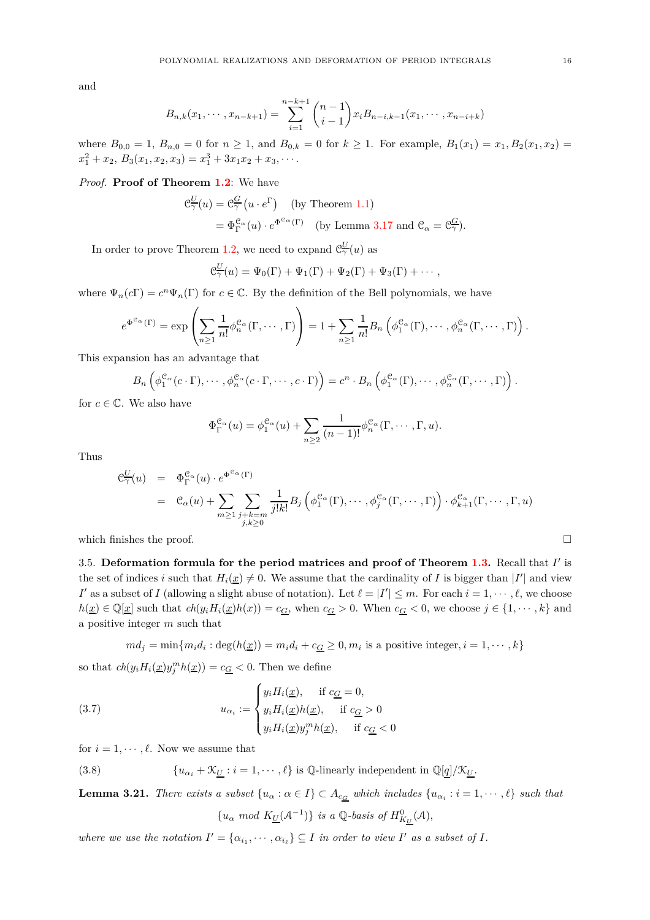and

$$
B_{n,k}(x_1,\dots,x_{n-k+1})=\sum_{i=1}^{n-k+1} \binom{n-1}{i-1} x_i B_{n-i,k-1}(x_1,\dots,x_{n-i+k})
$$

where  $B_{0,0} = 1$ ,  $B_{n,0} = 0$  for  $n \ge 1$ , and  $B_{0,k} = 0$  for  $k \ge 1$ . For example,  $B_1(x_1) = x_1, B_2(x_1, x_2) =$  $x_1^2 + x_2, B_3(x_1, x_2, x_3) = x_1^3 + 3x_1x_2 + x_3, \cdots$ 

## *Proof.* **Proof of Theorem [1.2](#page-2-0)**: We have

$$
\mathcal{C}_{\gamma}^{\underline{U}}(u) = \mathcal{C}_{\gamma}^{\underline{G}}(u \cdot e^{\Gamma}) \quad \text{(by Theorem 1.1)}
$$
  
=  $\Phi_{\Gamma}^{\mathcal{C}_{\alpha}}(u) \cdot e^{\Phi^{\mathcal{C}_{\alpha}}(\Gamma)}$  (by Lemma 3.17 and  $\mathcal{C}_{\alpha} = \mathcal{C}_{\gamma}^{\underline{G}}$ ).

In order to prove Theorem [1.2,](#page-2-0) we need to expand  $\mathcal{C}^{\underline{U}}_{\gamma}(u)$  as

$$
\mathcal{C}_{\gamma}^{\underline{U}}(u) = \Psi_0(\Gamma) + \Psi_1(\Gamma) + \Psi_2(\Gamma) + \Psi_3(\Gamma) + \cdots,
$$

where  $\Psi_n(c\Gamma) = c^n \Psi_n(\Gamma)$  for  $c \in \mathbb{C}$ . By the definition of the Bell polynomials, we have

$$
e^{\Phi^{\mathfrak{C}_{\alpha}}(\Gamma)} = \exp\left(\sum_{n\geq 1}\frac{1}{n!}\phi_n^{\mathfrak{C}_{\alpha}}(\Gamma,\cdots,\Gamma)\right) = 1 + \sum_{n\geq 1}\frac{1}{n!}B_n\left(\phi_1^{\mathfrak{C}_{\alpha}}(\Gamma),\cdots,\phi_n^{\mathfrak{C}_{\alpha}}(\Gamma,\cdots,\Gamma)\right).
$$

This expansion has an advantage that

$$
B_n\left(\phi_1^{\mathcal{C}_\alpha}(c\cdot\Gamma),\cdots,\phi_n^{\mathcal{C}_\alpha}(c\cdot\Gamma,\cdots,c\cdot\Gamma)\right)=c^n\cdot B_n\left(\phi_1^{\mathcal{C}_\alpha}(\Gamma),\cdots,\phi_n^{\mathcal{C}_\alpha}(\Gamma,\cdots,\Gamma)\right).
$$

for  $c \in \mathbb{C}$ . We also have

$$
\Phi_{\Gamma}^{\mathcal{C}_{\alpha}}(u) = \phi_1^{\mathcal{C}_{\alpha}}(u) + \sum_{n \geq 2} \frac{1}{(n-1)!} \phi_n^{\mathcal{C}_{\alpha}}(\Gamma, \cdots, \Gamma, u).
$$

Thus

$$
\mathcal{C}_{\gamma}^{\underline{U}}(u) = \Phi_{\Gamma}^{\mathcal{C}_{\alpha}}(u) \cdot e^{\Phi^{\mathcal{C}_{\alpha}}(\Gamma)}
$$
\n
$$
= \mathcal{C}_{\alpha}(u) + \sum_{m \geq 1} \sum_{\substack{j+k=m \\ j,k \geq 0}} \frac{1}{j!k!} B_j \left( \phi_1^{\mathcal{C}_{\alpha}}(\Gamma), \cdots, \phi_j^{\mathcal{C}_{\alpha}}(\Gamma, \cdots, \Gamma) \right) \cdot \phi_{k+1}^{\mathcal{C}_{\alpha}}(\Gamma, \cdots, \Gamma, u)
$$

<span id="page-15-0"></span>which finishes the proof.  $\Box$ 

3.5. **Deformation formula for the period matrices and proof of Theorem [1.3.](#page-3-0)** Recall that *I* ′ is the set of indices *i* such that  $H_i(\underline{x}) \neq 0$ . We assume that the cardinality of *I* is bigger than |*I'*| and view *I*<sup> $\prime$ </sup> as a subset of *I* (allowing a slight abuse of notation). Let  $\ell = |I'| \leq m$ . For each  $i = 1, \dots, \ell$ , we choose  $h(\underline{x}) \in \mathbb{Q}[\underline{x}]$  such that  $ch(y_i H_i(\underline{x})h(x)) = c_G$ , when  $c_G > 0$ . When  $c_G < 0$ , we choose  $j \in \{1, \dots, k\}$  and a positive integer *m* such that

 $md_j = \min\{m_i d_i : \deg(h(\underline{x})) = m_i d_i + c_{\underline{G}} \geq 0, m_i$  is a positive integer,  $i = 1, \dots, k\}$ so that  $ch(y_i H_i(\underline{x}) y_j^m h(\underline{x})) = c_G < 0$ . Then we define

(3.7) 
$$
u_{\alpha_i} := \begin{cases} y_i H_i(\underline{x}), & \text{if } c_{\underline{G}} = 0, \\ y_i H_i(\underline{x}) h(\underline{x}), & \text{if } c_{\underline{G}} > 0 \\ y_i H_i(\underline{x}) y_j^m h(\underline{x}), & \text{if } c_{\underline{G}} < 0 \end{cases}
$$

for  $i = 1, \dots, \ell$ . Now we assume that

<span id="page-15-1"></span>(3.8)  ${u_{\alpha_i} + \mathcal{K}_{\underline{U}} : i = 1, \cdots, \ell}$  is  $\mathbb{Q}\text{-linearly independent in } \mathbb{Q}[q]/\mathcal{K}_{\underline{U}}$ .

**Lemma 3.21.** *There exists a subset*  $\{u_\alpha : \alpha \in I\} \subset A_{c_G}$  *which includes*  $\{u_{\alpha_i} : i = 1, \dots, \ell\}$  *such that* 

<span id="page-15-2"></span> ${u_{\alpha} \mod K_{\underline{U}}(A^{-1})}$  *is a*  $\mathbb{Q}$ *-basis of*  $H^0_{K_U}(A)$ *,* 

*where we use the notation*  $I' = \{ \alpha_{i_1}, \cdots, \alpha_{i_\ell} \} \subseteq I$  *in order to view*  $I'$  *as a subset of*  $I$ *.*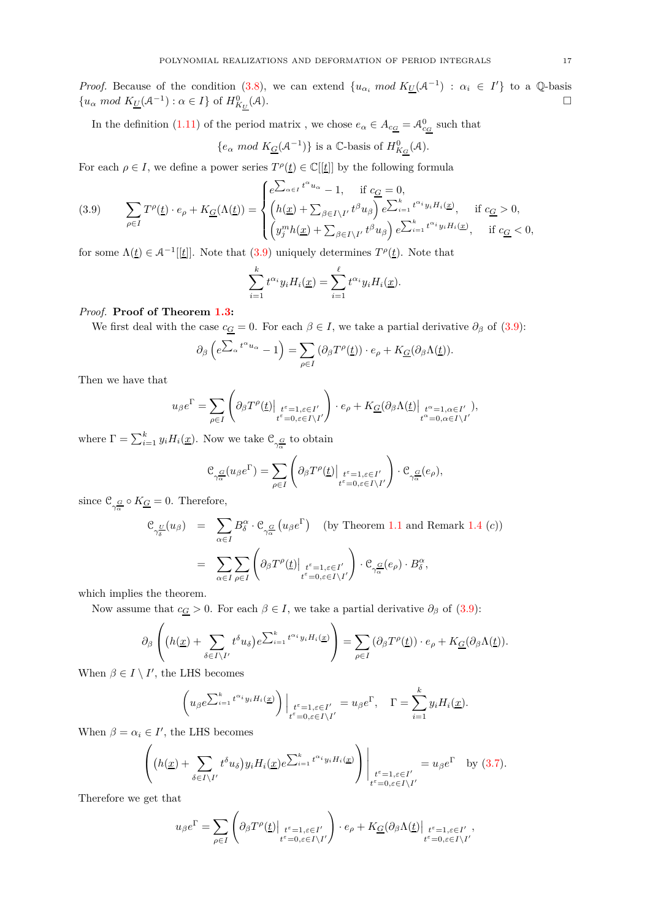*Proof.* Because of the condition [\(3.8\)](#page-15-1), we can extend  $\{u_{\alpha_i} \mod K_U(\mathcal{A}^{-1}) : \alpha_i \in I'\}$  to a Q-basis  ${u_{\alpha} \mod K_{\underline{U}}(A^{-1}) : \alpha \in I}$  of  $H^0_{K_U}$  $(A).$ 

In the definition [\(1.11\)](#page-3-1) of the period matrix, we chose  $e_{\alpha} \in A_{c_{\underline{G}}} = A_{c_{\underline{G}}}^0$  such that

$$
\{e_{\alpha} \mod K_{\underline{G}}(\mathcal{A}^{-1})\} \text{ is a } \mathbb{C}\text{-basis of } H_{K_G}^0(\mathcal{A}).
$$

For each  $\rho \in I$ , we define a power series  $T^{\rho}(\underline{t}) \in \mathbb{C}[[\underline{t}]]$  by the following formula

<span id="page-16-0"></span>(3.9) 
$$
\sum_{\rho \in I} T^{\rho}(\underline{t}) \cdot e_{\rho} + K_{\underline{G}}(\Lambda(\underline{t})) = \begin{cases} e^{\sum_{\alpha \in I} t^{\alpha} u_{\alpha}} - 1, & \text{if } c_{\underline{G}} = 0, \\ \left( h(\underline{x}) + \sum_{\beta \in I \setminus I'} t^{\beta} u_{\beta} \right) e^{\sum_{i=1}^{k} t^{\alpha_{i}} y_{i} H_{i}(\underline{x})}, & \text{if } c_{\underline{G}} > 0, \\ \left( y_{j}^{m} h(\underline{x}) + \sum_{\beta \in I \setminus I'} t^{\beta} u_{\beta} \right) e^{\sum_{i=1}^{k} t^{\alpha_{i}} y_{i} H_{i}(\underline{x})}, & \text{if } c_{\underline{G}} < 0, \end{cases}
$$

for some  $\Lambda(t) \in \mathcal{A}^{-1}[[t]]$ . Note that  $(3.9)$  uniquely determines  $T^{\rho}(t)$ . Note that

$$
\sum_{i=1}^k t^{\alpha_i} y_i H_i(\underline{x}) = \sum_{i=1}^\ell t^{\alpha_i} y_i H_i(\underline{x}).
$$

## *Proof.* **Proof of Theorem [1.3:](#page-3-0)**

We first deal with the case  $c_{\underline{G}} = 0$ . For each  $\beta \in I$ , we take a partial derivative  $\partial_{\beta}$  of [\(3.9\)](#page-16-0):

$$
\partial_{\beta} \left( e^{\sum_{\alpha} t^{\alpha} u_{\alpha}} - 1 \right) = \sum_{\rho \in I} \left( \partial_{\beta} T^{\rho}(\underline{t}) \right) \cdot e_{\rho} + K_{\underline{G}}(\partial_{\beta} \Lambda(\underline{t})).
$$

Then we have that

$$
u_{\beta}e^{\Gamma} = \sum_{\rho \in I} \left( \partial_{\beta} T^{\rho}(\underline{t}) \Big|_{\substack{t^{\varepsilon} = 1, \varepsilon \in I' \\ t^{\varepsilon} = 0, \varepsilon \in I \setminus I'}} \right) \cdot e_{\rho} + K_{\underline{G}}(\partial_{\beta} \Lambda(\underline{t}) \Big|_{\substack{t^{\alpha} = 1, \alpha \in I' \\ t^{\alpha} = 0, \alpha \in I \setminus I'}}),
$$

where  $\Gamma = \sum_{i=1}^{k} y_i H_i(\underline{x})$ . Now we take  $\mathcal{C}_{\gamma_{\overline{\alpha}}^{\mathcal{G}}}$  to obtain

$$
\mathcal{C}_{\gamma^{\underline{G}}_{\alpha}}(u_{\beta}e^{\Gamma})=\sum_{\rho\in I}\left(\partial_{\beta}T^{\rho}(\underline{t})\Big|_{\substack{t^{\varepsilon}=1,\varepsilon\in I'\\t^{\varepsilon}=0,\varepsilon\in I\backslash I'}}\right)\cdot\mathcal{C}_{\gamma^{\underline{G}}_{\alpha}}(e_{\rho}),
$$

since  $\mathcal{C}_{\gamma_{\alpha}^G} \circ K_{\underline{G}} = 0$ . Therefore,

$$
\mathcal{C}_{\gamma_{\delta}^{\underline{U}}}(u_{\beta}) = \sum_{\alpha \in I} B_{\delta}^{\alpha} \cdot \mathcal{C}_{\gamma_{\alpha}^{\underline{G}}}(u_{\beta}e^{\Gamma}) \quad \text{(by Theorem 1.1 and Remark 1.4 (c))}
$$
\n
$$
= \sum_{\alpha \in I} \sum_{\rho \in I} \left( \partial_{\beta} T^{\rho}(\underline{t}) \Big|_{\substack{t^{\varepsilon} = 1, \varepsilon \in I' \\ t^{\varepsilon} = 0, \varepsilon \in I \setminus I'}} \right) \cdot \mathcal{C}_{\gamma_{\alpha}^{\underline{G}}}(\underline{e}_{\rho}) \cdot B_{\delta}^{\alpha},
$$

which implies the theorem.

Now assume that  $c_G > 0$ . For each  $\beta \in I$ , we take a partial derivative  $\partial_\beta$  of [\(3.9\)](#page-16-0):

$$
\partial_{\beta}\left((h(\underline{x})+\sum_{\delta\in I\setminus I'}t^{\delta}u_{\delta})e^{\sum_{i=1}^kt^{\alpha_i}y_iH_i(\underline{x})}\right)=\sum_{\rho\in I}(\partial_{\beta}T^{\rho}(\underline{t}))\cdot e_{\rho}+K_{\underline{G}}(\partial_{\beta}\Lambda(\underline{t})).
$$

When  $\beta \in I \setminus I'$ , the LHS becomes

$$
\left(u_{\beta}e^{\sum_{i=1}^k t^{\alpha_i}y_iH_i(\underline{x})}\right)\Big|_{\substack{t^{\varepsilon}=1,\varepsilon\in I'\\t^{\varepsilon}=0,\varepsilon\in I\setminus I'}}=u_{\beta}e^{\Gamma},\quad \Gamma=\sum_{i=1}^k y_iH_i(\underline{x}).
$$

When  $\beta = \alpha_i \in I'$ , the LHS becomes

$$
\left( \left( h(\underline{x}) + \sum_{\delta \in I \setminus I'} t^{\delta} u_{\delta} \right) y_i H_i(\underline{x}) e^{\sum_{i=1}^k t^{\alpha_i} y_i H_i(\underline{x})} \right) \Bigg|_{\substack{t^{\varepsilon} = 1, \varepsilon \in I' \\ t^{\varepsilon} = 0, \varepsilon \in I \setminus I'}} = u_{\beta} e^{\Gamma} \text{ by (3.7)}.
$$

Therefore we get that

$$
u_{\beta}e^{\Gamma} = \sum_{\rho \in I} \left( \partial_{\beta} T^{\rho}(\underline{t}) \Big|_{\substack{t^{\varepsilon} = 1, \varepsilon \in I' \\ t^{\varepsilon} = 0, \varepsilon \in I \setminus I'}} \right) \cdot e_{\rho} + K_{\underline{G}}(\partial_{\beta} \Lambda(\underline{t}) \Big|_{\substack{t^{\varepsilon} = 1, \varepsilon \in I' \\ t^{\varepsilon} = 0, \varepsilon \in I \setminus I'}}.
$$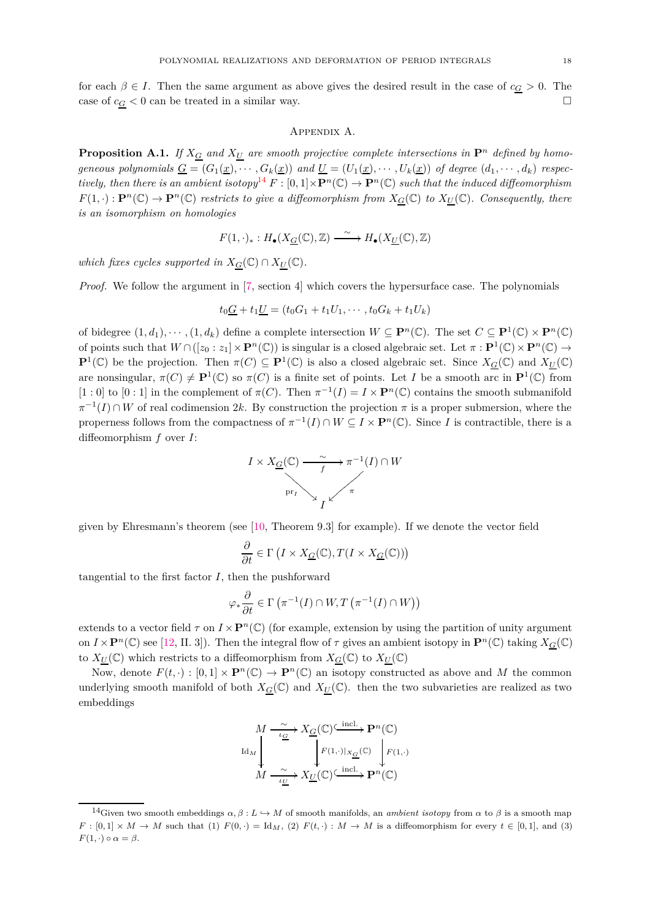<span id="page-17-0"></span>for each  $\beta \in I$ . Then the same argument as above gives the desired result in the case of  $c_{\underline{G}} > 0$ . The case of  $c_G < 0$  can be treated in a similar way.

## Appendix A.

<span id="page-17-1"></span>**Proposition A.1.** *If*  $X_{\underline{G}}$  *and*  $X_{\underline{U}}$  *are smooth projective complete intersections in*  $\mathbf{P}^n$  *defined by homo*geneous polynomials  $\underline{G} = (G_1(\underline{x}), \cdots, G_k(\underline{x}))$  and  $\underline{U} = (U_1(\underline{x}), \cdots, U_k(\underline{x}))$  of degree  $(d_1, \cdots, d_k)$  respec*tively, then there is an ambient isotopy*<sup>[14](#page-17-2)</sup>  $F : [0,1] \times \mathbf{P}^n(\mathbb{C}) \to \mathbf{P}^n(\mathbb{C})$  *such that the induced diffeomorphism*  $F(1, \cdot): \mathbf{P}^n(\mathbb{C}) \to \mathbf{P}^n(\mathbb{C})$  *restricts to give a diffeomorphism from*  $X_{\mathcal{G}}(\mathbb{C})$  *to*  $X_{\mathcal{U}}(\mathbb{C})$ *. Consequently, there is an isomorphism on homologies*

$$
F(1,\cdot)_*:H_\bullet(X_{\underline{G}}(\mathbb{C}),\mathbb{Z})\xrightarrow{\ \sim\ }H_\bullet(X_{\underline{U}}(\mathbb{C}),\mathbb{Z})
$$

*which fixes cycles supported in*  $X_G(\mathbb{C}) \cap X_U(\mathbb{C})$ *.* 

*Proof.* We follow the argument in [\[7,](#page-18-10) section 4] which covers the hypersurface case. The polynomials

$$
t_0 \underline{G} + t_1 \underline{U} = (t_0 G_1 + t_1 U_1, \cdots, t_0 G_k + t_1 U_k)
$$

of bidegree  $(1, d_1), \dots, (1, d_k)$  define a complete intersection  $W \subseteq \mathbf{P}^n(\mathbb{C})$ . The set  $C \subseteq \mathbf{P}^1(\mathbb{C}) \times \mathbf{P}^n(\mathbb{C})$ of points such that  $W \cap ([z_0 : z_1] \times \mathbf{P}^n(\mathbb{C}))$  is singular is a closed algebraic set. Let  $\pi : \mathbf{P}^1(\mathbb{C}) \times \mathbf{P}^n(\mathbb{C}) \to$ **P**<sup>1</sup>(C) be the projection. Then  $\pi(C) \subseteq \mathbf{P}^1(\mathbb{C})$  is also a closed algebraic set. Since  $X_{\mathcal{G}}(\mathbb{C})$  and  $X_{\mathcal{U}}(\mathbb{C})$ are nonsingular,  $\pi(C) \neq \mathbf{P}^1(\mathbb{C})$  so  $\pi(C)$  is a finite set of points. Let *I* be a smooth arc in  $\mathbf{P}^1(\mathbb{C})$  from [1 : 0] to [0 : 1] in the complement of  $\pi(C)$ . Then  $\pi^{-1}(I) = I \times \mathbf{P}^n(\mathbb{C})$  contains the smooth submanifold  $\pi^{-1}(I) \cap W$  of real codimension 2*k*. By construction the projection  $\pi$  is a proper submersion, where the properness follows from the compactness of  $\pi^{-1}(I) \cap W \subseteq I \times \mathbf{P}^n(\mathbb{C})$ . Since *I* is contractible, there is a diffeomorphism *f* over *I*:



given by Ehresmann's theorem (see [\[10,](#page-18-11) Theorem 9.3] for example). If we denote the vector field

$$
\frac{\partial}{\partial t}\in\Gamma\left(I\times X_{\underline{G}}(\mathbb{C}), T(I\times X_{\underline{G}}(\mathbb{C}))\right)
$$

tangential to the first factor *I*, then the pushforward

$$
\varphi_* \frac{\partial}{\partial t} \in \Gamma\left(\pi^{-1}(I) \cap W, T\left(\pi^{-1}(I) \cap W\right)\right)
$$

extends to a vector field  $\tau$  on  $I \times \mathbf{P}^n(\mathbb{C})$  (for example, extension by using the partition of unity argument on  $I \times \mathbf{P}^n(\mathbb{C})$  see [\[12,](#page-18-12) II. 3]). Then the integral flow of  $\tau$  gives an ambient isotopy in  $\mathbf{P}^n(\mathbb{C})$  taking  $X_G(\mathbb{C})$ to  $X_{\underline{U}}(\mathbb{C})$  which restricts to a diffeomorphism from  $X_{\underline{G}}(\mathbb{C})$  to  $X_{\underline{U}}(\mathbb{C})$ 

Now, denote  $F(t, \cdot) : [0,1] \times \mathbf{P}^n(\mathbb{C}) \to \mathbf{P}^n(\mathbb{C})$  an isotopy constructed as above and *M* the common underlying smooth manifold of both  $X_G(\mathbb{C})$  and  $X_U(\mathbb{C})$ . then the two subvarieties are realized as two embeddings

$$
M \xrightarrow{\sim} X_{\underline{G}}(\mathbb{C}) \xrightarrow{\text{incl.}} \mathbf{P}^{n}(\mathbb{C})
$$
  
\n
$$
H_{M} \downarrow \qquad \qquad F(1,\cdot)|_{X_{\underline{G}}}(\mathbb{C}) \qquad \qquad F(1,\cdot)
$$
  
\n
$$
M \xrightarrow{\sim} X_{\underline{U}}(\mathbb{C}) \xrightarrow{\text{incl.}} \mathbf{P}^{n}(\mathbb{C})
$$

<span id="page-17-2"></span><sup>&</sup>lt;sup>14</sup>Given two smooth embeddings  $\alpha, \beta : L \hookrightarrow M$  of smooth manifolds, an *ambient isotopy* from  $\alpha$  to  $\beta$  is a smooth map  $F: [0,1] \times M \to M$  such that (1)  $F(0, \cdot) = \text{Id}_M$ , (2)  $F(t, \cdot) : M \to M$  is a diffeomorphism for every  $t \in [0,1]$ , and (3)  $F(1, \cdot) \circ \alpha = \beta$ .